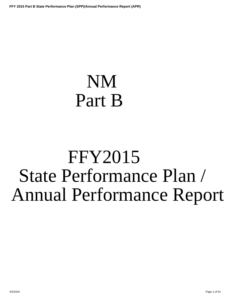# <span id="page-0-0"></span>NM Part B

# FFY2015 State Performance Plan / Annual Performance Report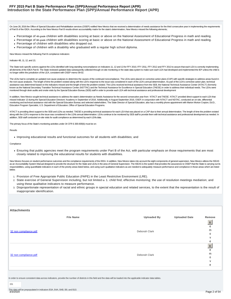# **Introduction to the State Performance Plan (SPP)/Annual Performance Report (APR) FFY 2015 Part B State Performance Plan (SPP)/Annual Performance Report (APR)**

On June 28, 2016 the Office of Special Education and Rehabilitation services (OSEP) notified New Mexico that we received a determination of needs assistance for the third consecutive year in implementing the requirements of Part B of the IDEA. According to the New Mexico Part B results-driven accountability matrix for the state's determination, New Mexico missed the following elements;

- Percentage of 4th grade children with disabilities scoring at basic or above on the National Assessment of Educational Progress in math and reading.
- Percentage of 8th grade children with disabilities scoring at basic or above on the National Assessment of Educational Progress in math and reading.
- Percentage of children with disabilities who dropped out.
- Percentage of children with a disability who graduated with a regular high school diploma.

New Mexico missed the following Part B compliance indicators:

Indicator 4B, 11, 12, and 13;

The State took specific actions against the LEAs identified with long-standing noncompliance on Indicators 11, 12 and 13 for FFY 2010, FFY 2011, FFY 2012 and FFY 2013 to assure that each LEA is correctly implementing all elements of the IDEA Part B. The State reviewed updated data subsequently collected through on-site monitoring or the state data system to make sure each LEA had developed and implemented the IEP unless the child is no longer within the jurisdiction of the LEA, consistent with OSEP memo 09-02.

The LEAs had to complete an updated root cause analyses to determine the causes of the continued noncompliance. The LEAs were placed on corrective action plans (CAP) with specific strategies to address areas found in the root cause analyses. The length of time the problem existed along with the LEA's response to the issue was considered in each of the LEA's annual determination. As part of the LEA's corrective action plan, technical assistance was determined based on the indicators missed and the length of time the problem existed. The LEAs received technical assistance from the SEB, the National Technical Assistance Center (NTACT) (formerly known as the National Secondary Transition Technical Assistance Center (NSTTAC) and the Technical Assistance for Excellence in Special Education (TAESE) in order to address their individual needs. The LEAs were monitored through desk audits and onsite visits by the Special Education Bureau (SEB) staff in order to provide each LEA with technical assistance and professional development

In addition, New Mexico sought technical assistance to address the state's determination as Needs Assistance for the second consecutive year from NTACT and TAESE. NTACT provided direct support to each LEA that missed Indicator 13 during the Special Education Directors' Academy in September of 2016. Additionally, in August-September 2016, OSEP, in conjunction with NTACT and NDTAC, conducted an on-site, differential monitoring and technical assistance visit with the Special Education Bureau and selected stakeholders. The State Director of Special Education, also has a monthly phone appointment with Marion Morton Crayton, Ed.D., Education Program Specialist, U.S. Department of Education; Office of Special Education Programs.

NTACT is providing direct support to the SEB and LEAs as needed. TAESE is providing technical assistance for each LEA that was placed on a CAP due to their annual determination. The length of time the problem existed along with the LEA's response to the issue was considered in the LEA's annual determination. LEAs continue to be monitored by SEB staff to provide them with technical assistance and professional development as needed. In addition, SEB staff conducted on-site visits for audit compliance as determined by each LEA's data.

The primary focus of the State's monitoring activities under 34 CFR § 300.600(b) must be on:

Results

Improving educational results and functional outcomes for all students with disabilities; and

**Compliance** 

Ensuring that public agencies meet the program requirements under Part B of the Act, with particular emphasis on those requirements that are most closely related to improving the educational results for students with disabilities.

New Mexico focuses on student performance outcomes and the compliance requirements of the IDEA. In addition, New Mexico takes into account the eight components of general supervision. New Mexico utilizes the ISEAS as an Accountability System Manual designed to provide the structure for the State and LEAs in the area of General Supervision. The ISEAS is the system that provides the assurances to OSEP that the State is carrying out it responsibilities, using quantifiable indicators in each of the priority areas listed below, and using such qualitative indicators as are needed to adequately measure performance and compliance in those areas which are listed below.

- 1. Provision of Free Appropriate Public Education (FAPE) in the Least Restrictive Environment (LRE).
- 2. State exercise of General Supervision including, but not limited to: 1. child find; effective monitoring; the use of resolution meetings mediation; and using these qualitative indicators to measure performance.
- Disproportionate representation of racial and ethnic groups in special education and related services, to the extent that the representation is the result of 3. inappropriate identification.

| <b>Attachments</b>    |                  |                    |                      |                  |
|-----------------------|------------------|--------------------|----------------------|------------------|
|                       | <b>File Name</b> | <b>Uploaded By</b> | <b>Uploaded Date</b> | Remove           |
|                       |                  |                    |                      | R                |
|                       |                  |                    |                      | e<br>m           |
| 32 non compliance.pdf |                  | Deborah Clark      |                      | $\circ$          |
|                       |                  |                    |                      | $\mathsf{V}$     |
|                       |                  |                    |                      | e                |
|                       |                  |                    |                      | $\mathsf R$<br>e |
|                       |                  |                    |                      | m                |
| 32 non compliance.pdf |                  | Deborah Clark      |                      | 0                |
|                       |                  |                    |                      | $\mathsf{V}$     |
|                       |                  |                    |                      | e                |
|                       |                  |                    |                      |                  |

In order to ensure consistent data across indicators, provide the number of districts in this field and the data will be loaded into the applicable indicator data tables.

151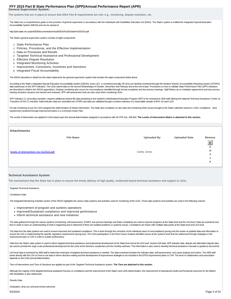**General Supervision System:**

The systems that are in place to ensure that IDEA Part B requirements are met, e.g., monitoring, dispute resolution, etc.

The State has a comprehensive guide on the provision of general supervision in accordance with the Individuals with Disabilities Education Act (IDEA). The State's system is entitled the Integrated Special Education Accountability System (ISEAS) and can be viewed at

http://ped.state.nm.us/ped/SEBdocuments/technical/ISEAS%20October%202016.pdf

The State's general supervision system consists of eight components:

- 1. State Performance Plan
- 2. Policies, Procedures, and the Effective Implementation
- 3. Data on Processes and Results
- 4. Targeted Technical Assistance and Professional Development
- 5. Effective Dispute Resolution
- 6. Integrated Monitoring Activities
- 7. Improvement, Corrections, Incentives and Sanctions
- 8. integrated Fiscal Accountability

The ISEAS describes in detail how the state implements the general supervision system that includes the eight components listed above.

According to the State's Integrated Special Education Accountability System (ISEAS), every LEA is monitored annually. All LEAs are desktop monitored through the Student Teacher Accountability Reporting System (STARS) data warehouse on the SPP indicators. The LEAs submit data on the second Wednesdays of October, December and February and at the end of year. Procedures on how to validate State Performance Plan (SPP) indicators are described in detail in the ISEAS appendices. Desktop monitoring also occurs for noncompliance identified through formal complaints and due process hearings. Staff follows up on mediation agreements and due process hearing resolution sessions are tracked and reviewed. SPP self-assessment tools are also used when monitoring LEAs.

SPP Indicator 13, secondary transition, requires additional student file data pertaining to the student's Individualized Education Program (IEP) to be reviewed by SEB staff utilizing the National Technical Assistance Cente Transition (NTACT) checklist. Initial indicator data are submitted into STARS and data are validated through a random selection of a reasonable sample of IEPs, for each LEA.

On-site monitoring occurs for LEAs assigned the determination of Needs Intervention. The State also completes on-site visits and monitoring when issues brought to the State's attention warrant it. LEAs' compliance were tracked and monitored through improvement plans or a Corrective Action Plan.

The Levels of Intervention are applied to LEAs based upon the annual determination assigned in accordance with 34 CFR Sec. 300.604. **The Levels of Intervention Matrix is attached to this section.**

| <b>Attachments</b>                    |                    |                      |                           |
|---------------------------------------|--------------------|----------------------|---------------------------|
| <b>File Name</b>                      | <b>Uploaded By</b> | <b>Uploaded Date</b> | Remove                    |
|                                       |                    |                      | $\ensuremath{\mathsf{R}}$ |
|                                       |                    |                      | e                         |
| levels of intervention rev 012016.pdf | Cathy Jones        |                      | m                         |
|                                       |                    |                      | $\circ$                   |
|                                       |                    |                      | $\mathsf{V}$              |
|                                       |                    |                      | e                         |
|                                       |                    |                      |                           |

#### **Technical Assistance System:**

The mechanisms that the State has in place to ensure the timely delivery of high quality, evidenced based technical assistance and support to LEAs.

#### Targeted Technical Assistance

Compliance Data

The Integrated Monitoring Activities section of the ISEAS highlights the various data systems and activities used for monitoring of the LEAs. Those data systems and activities are used in the following manner:

- Improvement of program and systems operations
- Improved/Sustained compliance and improved performance
- Inform technical assistance and new initiatives

The data gathered through the various systems (monitoring, self-assessment, STARS, due process hearings and State complaints) are used to improve programs at the State level and the LEA level. Data are examined over time in order to have an understanding of what is happening and to determine if there are isolated problems or systemic issues. Correlations are drawn with multiple data points at the State level and LEA level.

The data from the data systems are used to ensure improved and sustained compliance. This is done through the correction of the individual cases of noncompliance (prong one) the review of updated data and information to ensure the LEA is implementing the specific regulatory requirements (prong two). The LEAs participation in the Root Cause Analysis identifies issues at the systems level that are addressed through strategies in the improvement plan or CAP in order to sustain performance.

Data from the State's data system is used to inform targeted technical assistance and professional development at the State level and at the LEA level. Section 618 data, SPP indicator data, dispute and alternative dispute are used to provide the large scale professional development for the LEAs at the Directors' academies and the monthly webinars. This information is also used to develop technical assistance manuals or guidance documents.

LEA level data is examined by SEB staff to determine what type of targeted technical assistance is needed. The data examined includes the indicator data, self-assessments, root cause analysis and rubrics. The SEB staff works directly with the LEA on how to use data to inform decision-making and the development of improvement strategies to be included in the EPSS improvement plans or CAP. The level of collaboration and prescription depends on the LEA's annual determination.

Tiers of Interventions and Tiers of Sanctions are applied as part of the Targeted Technical Assistance system. **The Tiers are attached to this section**.

Although the majority of the targeted technical assistance focuses on compliance and the improvement of the State's and LEA's determination, the improvement of educational results and functional outcomes for all children with disabilities is also addressed.

Results Data

Graduation, drop-out, and post-school outcomes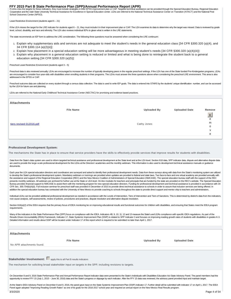# FFY 2015 Part B State Performance Plan (SPP)/Annual Performance Report (APR)<br>If LEAs miss the targets for these indicators, they must include strategies in their EPSS improvement plan or CAP. Targeted technical assistance

Cooperative and the Utah State University Technical Assistance for Excellence in Special Education center. LEAs are referred to the National Technical Assistance Center on Transition (NTACT) and the National Post School Outcomes Center (NPSO).

Least Restrictive Environment (students aged 6 – 21)

If the LEA misses the target for the LRE indicator for students aged 6 – 21, they must include it in their improvement plan or CAP. The LEA examines its data to determine why the target was missed. Data is reviewed by grad level, school, disability, and race and ethnicity. The LEA also reviews individual IEPs to glean what is written in the LRE statements.

The state recommends an IEP form to address the LRE consideration. The following three questions must be answered when considering the LRE continuum:

- Explain why supplementary aids and services are not adequate to meet the student's needs in the general education class [34 CFR §300.320 (a)(4), and 1. 34 CFR §300.114 (a)(2)(ii)]:
- 2. Explain how placement in a special education setting will be more advantageous in meeting student's needs [34 CFR §300.320 (a)(4)(iii)]:
- Explain why placement in a general education setting is reduced or limited and what is being done to reintegrate the student back to a general 3. education setting [34 CFR §300.320 (a)(5)]:

#### Preschool Least Restrictive Environment (students aged 3 – 5)

Preschool data is also reviewed annually. LEAs are encouraged to increase the number of typically developing peers in the regular preschool settings. If the LEA has one of the State funded Pre-Kindergarten programs, LEAs are encouraged to consider four-year-olds with disabilities when enrolling students in their programs. The LEAs must answer the three questions above when considering the preschool LRE environment. This area is also addressed in the EPSS or CAP.

eschool outcome data are collected on every student through a census data collection. The data is used to write IEP goals. The data is entered into STARS by the students' unique identification number, and can be accessed by the LEA for future use and planning.

LEAs are referred to the National Early Childhood Technical Assistance Center (NECTAC) for promising and evidence based practices.

| <b>Attachments</b>       |                  |                    |                      |        |
|--------------------------|------------------|--------------------|----------------------|--------|
|                          | <b>File Name</b> | <b>Uploaded By</b> | <b>Uploaded Date</b> | Remove |
|                          |                  |                    |                      | R      |
|                          |                  |                    |                      | е      |
| tiers revised 012016.pdf |                  | Cathy Jones        |                      | m      |
|                          |                  |                    |                      | 0      |
|                          |                  |                    |                      |        |
|                          |                  |                    |                      | е      |
|                          |                  |                    |                      |        |

#### **Professional Development System:**

The mechanisms the State has in place to ensure that service providers have the skills to effectively provide services that improve results for students with disabilities.

Data from the State's data system are used to inform targeted technical assistance and professional development at the State level and at the LEA level. Section 618 data, SPP indicator data, dispute and alternative dispute are used to provide the large-scale professional development for the LEAs at the Directors' academies and the monthly webinars. This information is also used to development technical assistance manuals or guidance documents.

Each year the LEA special education directors and coordinators are surveyed and asked to identify their professional development needs. Data from these surveys along with data from the State's monitoring system are utilize to develop the State's professional development system. Mandatory webinars or trainings are provided when updates are provided to federal and state laws. Two face-to-face and one virtual academy are provided annually with the assistance and support of the Regional Education Cooperative (REC) and the New Mexico Coalition of Administrators of Special Education (NMCASE). The special education bureau staff with the support of the REC presents monthly webinars. All webinars are archived for further use at the State or LEA level. On-line modules for teachers and principals that are funded by the state are provided on the REC's website. The Special Educat Bureau provides financial support to NMCASE to assist them with the mentoring program for new special education directors. Funding for professional development and technical assistance is provided in accordance with 34 CFR Sec. 300.704(b)(4)(ii). Full inclusion seminar for preschool staff was provided in December of 2015 to provide direct technical assistance to schools in order to assure that inclusion services are being offered. In addition the special education bureau has contracted with the University of New Mexico to provide coaching to schools throughout the state to provide direct support and mentor ship to teachers and administrators.

Individual LEAs can be provided additional professional development as needed in accordance with the Levels of Intervention, Tiers of Intervention and Tiers of Sanctions. This is determined by district's data from the indi root cause analysis, self-assessments, review of policies, procedures and practices, dispute resolution and alternative dispute resolution.

Section 616(a)(2) of the IDEA requires that the primary focus of IDEA monitoring be on improving educational results and functional outcomes for children with disabilities, and ensuring that States meet the IDEA program requirements.

Many of the indicators in the State Performance Plan (SPP) focus on compliance with the IDEA. Indicators 4B, 9, 10, 11, 12 and 13 measure the State's and LEA's compliance with specific IDEA regulations. As part of the Results Driven Accountability (RDA) Framework, Indicator 17, State Systemic Improvement Plan (SSIP) is related to SPP Indicator 3 and focuses on improving reading growth rates of students with disabilities in grades K-3. Detailed information and results about SSIP will be located under Indicator 17 of this report which is required to be submitted no later than April 1, 2017.

| <b>Attachments</b> |
|--------------------|
|--------------------|

No APR attachments found.

**File Name Uploaded By Uploaded Date**

# **Stakeholder Involvement:**  $\Box$  apply this to all Part B results indicators

The mechanism for soliciting broad stakeholder input on targets in the SPP, including revisions to targets.

On December 8 and 9, 2016 State Performance Plan and Annual Performance Report indicator data were presented to the State's Individuals with Disabilities Education Act State Advisory Panel. The panel members had the opportunity to review FFY 15 (July 1, 2015 – June 30, 2016) data and the State's progress or slippage by each indicator. After the FFY 15 data was reviewed, the advisory panel provided input and maintain target.

At the State's IDEA Advisory Panel on December 8 and 9, 2016, the panel gave input on the State Systemic Improvement Plan (SSIP) indicator 17. Further detail will be submitted with indicator 17 on April 1, 2017. The IDEA Panel again adopted "Improving Reading Growth Rates" as one of its goals for the 2016-2017 school year and required an annual report on the New Mexico Real Results program. 3/3/2020 Page 4 of 54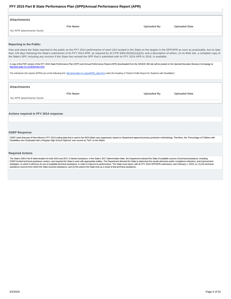<span id="page-4-0"></span>

| Attachments               |                  |                    |                      |
|---------------------------|------------------|--------------------|----------------------|
|                           | <b>File Name</b> | <b>Uploaded By</b> | <b>Uploaded Date</b> |
| No APR attachments found. |                  |                    |                      |
|                           |                  |                    |                      |

#### **Reporting to the Public:**

How and where the State reported to the public on the FFY 2014 performance of each LEA located in the State on the targets in the SPP/APR as soon as practicable, but no later than 120 days following the State's submission of its FFY 2014 APR, as required by 34 CFR §300.602(b)(1)(i)(A); and a description of where, on its Web site, a complete copy of the State's SPP, including any revision if the State has revised the SPP that it submitted with its FFY 2014 APR in 2016, is available.

A copy of the PDF version of the FFY 2015 State Performance Plan (SPP) and Annual Performance Report (APR) downloaded from the GRADS 360 site will be posted on the Special Education Bureau's homepage at http://ped.state.nm.us/SEB/index.html.

The individual LEA reports (DPRs) are at the following link: http://ped.state.nm.us/ped/SEB\_data.html under the heading of "District Profile Report for Students with Disabilities".

| <b>Attachments</b>        |                  |                    |                      |
|---------------------------|------------------|--------------------|----------------------|
|                           | <b>File Name</b> | <b>Uploaded By</b> | <b>Uploaded Date</b> |
| No APR attachments found. |                  |                    |                      |
|                           |                  |                    |                      |

## **Actions required in FFY 2014 response**

#### **OSEP Response**

OSEP notes that part of New Mexico's FFY 2014 exiting data that is used in the RDA Matrix was suppressed, based on Department-approved privacy protection methodology. Therefore, the "Percentage of Children with Disabilities who Graduated with a Regular High School Diploma" was scored as "N/A" on the Matrix.

#### **Required Actions**

The State's IDEA Part B determination for both 2016 and 2017 is Needs Assistance. In the State's 2017 determination letter, the Department advised the State of available sources of technical assistance, including OSEP-funded technical assistance centers, and required the State to work with appropriate entities. The Department directed the State to determine the results elements and/or compliance indicators, and improvement strategies, on which it will focus its use of available technical assistance, in order to improve its performance. The State must report, with its FFY 2016 SPP/APR submission, due February 1, 2018, on: (1) the technical assistance sources from which the State received assistance; and (2) the actions the State took as a result of that technical assistance.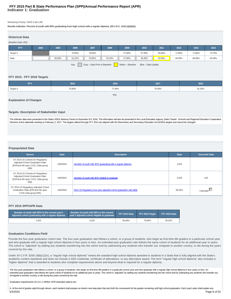# **Indicator 1: Graduation FFY 2015 Part B State Performance Plan (SPP)/Annual Performance Report (APR)**

#### Monitoring Priority: FAPE in the LRE

**Results indicator: Percent of youth with IEPs graduating from high school with a regular diploma. (20 U.S.C. 1416 (a)(3)(A))**

| <b>Historical Data</b>                                                           |      |        |        |        |        |        |        |        |        |        |        |
|----------------------------------------------------------------------------------|------|--------|--------|--------|--------|--------|--------|--------|--------|--------|--------|
| Baseline Data: 2011                                                              |      |        |        |        |        |        |        |        |        |        |        |
| <b>FFY</b>                                                                       | 2004 | 2005   | 2006   | 2007   | 2008   | 2009   | 2010   | 2011   | 2012   | 2013   | 2014   |
| Target $\geq$                                                                    |      |        | 70.00% | 78.00% |        | 57.00% | 67.00% | 69.00% | 71.80% | 71.80% | 73.70% |
| Data                                                                             |      | 58.00% | 52.10% | 53.60% | 53.10% | 57.60% | 36.40% | 50.50% | 56.00% | 60.08% | 56.49% |
| Gray - Data Prior to Baseline<br>Yellow - Baseline<br>Key:<br>Blue - Data Update |      |        |        |        |        |        |        |        |        |        |        |

## **FFY 2015 - FFY 2018 Targets**

| <b>FFY</b>    | 2015   | 2016   | 2017   | 2018   |
|---------------|--------|--------|--------|--------|
| Target $\geq$ | 75.60% | 77.40% | 79.30% | 81.20% |
|               |        | Kev:   |        |        |

#### **Explanation of Changes**

#### **Targets: Description of Stakeholder Input**

The indicator data were presented to the State's IDEA Advisory Panel on December 8-9, 2016. The information will also be presented to the Local Education Agency, State Charter Schools and Regional Education Cooperative Directors at the statewide meeting on February 2, 2017. The targets utilized through FFY 2014 are aligned with the Elementary and Secondary Education Act (ESEA) targets and cannot be changed.

#### **Prepopulated Data**

| <b>Source</b>                                                                                                       | <b>Date</b> | <b>Description</b>                                                 | <b>Data</b> | <b>Overwrite Data</b> |
|---------------------------------------------------------------------------------------------------------------------|-------------|--------------------------------------------------------------------|-------------|-----------------------|
| SY 2014-15 Cohorts for Regulatory<br>Adjusted-Cohort Graduation Rate<br>(EDFacts file spec C151; Data group<br>696) | 10/4/2016   | Number of youth with IEPs graduating with a regular diploma        | 1,915       |                       |
| SY 2014-15 Cohorts for Regulatory<br>Adjusted-Cohort Graduation Rate<br>(EDFacts file spec C151; Data group<br>696) | 10/4/2016   | Number of youth with IEPs eligible to graduate                     | 3.228       | null                  |
| SY 2014-15 Regulatory Adjusted Cohort<br>Graduation Rate (EDFacts file spec<br>C150; Data group 695)                | 10/4/2016   | 2014-15 Regulatory four-year adjusted-cohort graduation rate table | 59.32%      | Calculate             |

# **FFY 2015 SPP/APR Data**

| Number of youth with IEPs in the current year's<br>adjusted cohort graduating with a regular diploma | Number of youth with IEPs in the current<br>vear's adjusted cohort eligible to graduate | FFY 2014 Data | FFY 2015 Target | FFY 2015 Data |  |
|------------------------------------------------------------------------------------------------------|-----------------------------------------------------------------------------------------|---------------|-----------------|---------------|--|
| .915                                                                                                 | 3.228                                                                                   | 56.49%        | 75.60%          | 59.32%        |  |

## **Graduation Conditions Field**

Provide the four-year graduation cohort rate. The four-year graduation rate follows a cohort, or a group of students, who begin as first-time 9th graders in a particular school year and who graduate with a regular high school diploma in four years or less. An extended-year graduation rate follows the same cohort of students for an additional year or years. The cohort is "adjusted" by adding any students transferring into the cohort and by subtracting any students who transfer out, emigrate to another country, or die during the years covered by the rate.

Under 34 C.F.R. §200.19(b)(1)(iv), a "regular high school diploma" means the standard high school diploma awarded to students in a State that is fully aligned with the State's academic content standards and does not include a GED credential, certificate of attendance, or any alternative award. The term "regular high school diploma" also includes a "higher diploma" that is awarded to students who complete requirements above and beyond what is required for a regular diploma.

The four-year graduation rate follows a cohort, or a group of students, who begin as first-time 9th graders in a particular school year and who graduate with a regular high school diploma in four years or less. An extended-year graduation rate follows the same cohort of students for an additional year or years. The cohort is "adjusted" by adding any students transferring into the cohort and by subtracting any students who transfer o immigrate to another country, or die during the years covered by the rate.

Graduation requirements 23-13-1.1 NMSA 1978 (standard option) are:

A. At the end of grades eight through eleven, each student shall prepare an interim next-step plan that sets forth the coursework for the grades remaining until high school graduation. Each year's plan shall explain any 3/3/2020 Page 6 of 54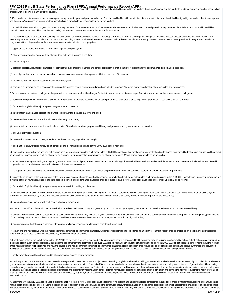# FFY 2015 Part B State Performance Plan (SPP)/Annual Performance Report (APR)<br>differences from previous interim next-step plans shall be filed with the principal of the student's high school and shall be signed by the stude

charged with coursework planning for the student.

B. Each student must complete a final next-step plan during the senior year and prior to graduation. The plan shall be filed with the principal of the student's high school and shall be signed by the student, the student's and the student's guidance counselor or other school official charged with coursework planning for the student.

C. An individualized education program that meets the requirements of Subsections A and B of this section and that meets all applicable transition and procedural requirements of the federal Individuals with Disabilities Education Act for a student with a disability shall satisfy the next-step plan requirements of this section for that student.

D. Local school board shall ensure that each high school student has the opportunity to develop a next-step plan based on reports of college and workplace readiness assessments, as available, and other factors and is reasonably informed about curricular and course options, including honors or advanced placement courses, dual-credit courses, distance learning courses, career clusters, pre-apprenticeship programs or remediation programs that the college and workplace readiness assessments indicate to be appropriate;

(1) opportunities available that lead to different post-high-school options; and

(2) alternative opportunities available if the student does not finish a planned curriculum.

E. The secretary shall:

(1) establish specific accountability standards for administrators, counselors, teachers and school district staff to ensure that every student has the opportunity to develop a next-step plan;

(2) promulgate rules for accredited private schools in order to ensure substantial compliance with the provisions of this section;

(3) monitor compliance with the requirements of this section; and

(4) compile such information as is necessary to evaluate the success of next-step plans and report annually, by December 15, to the legislative education study committee and the governor.

F. Once a student has entered ninth grade, the graduation requirements shall not be changed for that student from the requirements specified in the law at the time the student entered ninth grade.

G. Successful completion of a minimum of twenty-four units aligned to the state academic content and performance standards shall be required for graduation. These units shall be as follows:

(1) four units in English, with major emphasis on grammar and literature;

(2) three units in mathematics, at least one of which is equivalent to the algebra 1 level or higher;

(3) three units in science, two of which shall have a laboratory component;

(4) three units in social science, which shall include United States history and geography, world history and geography and government and economics;

(5) one unit in physical education;

(6) one unit in a career cluster course; workplace readiness or a language other than English;

(7) one-half unit in New Mexico history for students entering the ninth grade beginning in the 2005-2006 school year; and

(8) nine elective units and seven and one-half elective units for students entering the ninth grade in the 2005-2006 school year that meet department content and performance standards. Student service learning shall be off as an elective. Financial literacy shall be offered as an elective. Pre-apprenticeship programs may be offered as electives. Media literacy may be offered as an elective.

H. For students entering the ninth grade beginning in the 2009-2010 school year, at least one of the units required for graduation shall be earned as an advanced placement or honors course, a dual-credit course offered in cooperation with an institution of higher education or a distance learning course.

I. The department shall establish a procedure for students to be awarded credit through completion of specified career technical education courses for certain graduation requirements.

J. Successful completion of the requirements of the New Mexico diploma of excellence shall be required for graduation for students entering the ninth grade beginning in the 2009-2010 school year. Successful completion of a minimum of twenty-four units aligned to the state academic content and performance standards shall be required to earn a New Mexico diploma of excellence. These units shall be as follows:

(1) four units in English, with major emphasis on grammar, nonfiction writing and literature;

(2) four units in mathematics, of which one shall be the equivalent to or higher than the level of algebra 2, unless the parent submitted written, signed permission for the student to complete a lesser mathematics unit; an provided that a financial literacy course that meets state mathematics academic content and performance standards shall qualify as one of the four required mathematics units;

(3) three units in science, two of which shall have a laboratory component;

4) three and one-half units in social science, which shall include United States history and geography, world history and geography, government and economics and one-half unit of New Mexico history;

(5) one unit in physical education, as determined by each school district, which may include a physical education program that meets state content and performance standards or participation in marching band, junior reserve officers' training corps or interscholastic sports sanctioned by the New Mexico activities association or any other co-curricular physical activity;

(6) one unit in one of the following: a career cluster course, workplace readiness or a language other than English; and

(7) seven and one-half elective units that meet department content and performance standards. Student service learning shall be offered as an elective. Financial literacy shall be offered as an elective. Pre-apprenticeship programs may be offered as electives. Media literacy may be offered as an elective.

K. For students entering the eighth grade in the 2012-2013 school year, a course in health education is required prior to graduation. Health education may be required in either middle school or high school, as determined b the school district. Each school district shall submit to the department by the beginning of the 2011-2012 school year a health education implementation plan for the 2012-2013 and subsequent school years, including in which grade health education will be required and how the course aligns with department content and performance standards. Health education shall include age appropriate sexual abuse and assault awareness and prevention training that meet department standards developed in consultation with the federal centers for disease control and prevention that are based on evidence-based methods that have proven to be effective.

L. Final examinations shall be administered to all students in all classes offered for credit.

M. Until July 1, 2010, a student who has not passed a state graduation examination in the subject areas of reading, English, mathematics, writing, science and social science shall not receive a high school diploma. The state graduation examination on social science shall include a section on the constitution of the United States and the constitution of New Mexico. If a student exits from the school system at the end of grade twelve without hav passed a state graduation examination, the student shall receive an appropriate state certificate indicating the number of credits eamed and the grade completed. If within five years after a student exits from the school s the student takes and passes the state graduation examination, the student may receive a high school diploma. Any student passing the state graduation examination and completing all other requirements within five years of entering ninth grade, including a final summer session if completed by August 1, may be counted by the school system in which the student is enrolled as a high school graduate for the year in which completion and examination occur.

N. Beginning with the 2010-2011 school year, a student shall not receive a New Mexico diploma of excellence if the student has not demonstrated competence in the subject areas of mathematics, reading and language arts, writing, social studies and science, including a section on the constitution of the United States and the constitution of New Mexico, based on a standards-based assessment or assessments or a portfolio of standards-based indicators established by the department by rule. The standards-based assessments required in Section 22-2C-4 NMSA 1978 may also serve as the assessment required for high school graduation. If a student exits from the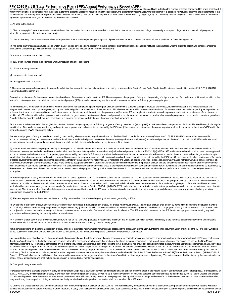# FFY 2015 Part B State Performance Plan (SPP)/Annual Performance Report (APR)<br>school system at the end of grade twelve without having satisfied the requirements of this subsection, the student shall receive an appropriate s

within five years after a student exits from the school system the student satisfies the requirement of this subsection, the student may receive a New Mexico diploma of excellence. Any student satisfying the requirements o subsection and completing all other requirements within five years of entering ninth grade, including a final summer session if completed by August 1, may be counted by the school system in which the student is enrolled as high school graduate for the year in which all requirements are satisfied.

#### O. As used in this section:

(1) "final next-step plan" means a next-step plan that shows that the student has committed or intends to commit in the near future to a four-year college or university, a two-year college, a trade or vocational program, a internship or apprenticeship, military service or a job;

(2) "interim next-step plan" means an annual next-step plan in which the student specifies post-high school goals and sets forth the coursework that will allow the student to achieve those goals; and

(3) "next-step plan" means an annual personal written plan of studies developed by a student in a public school or other state supported school or institution in consultation with the student's parent and school counselor other school official charged with coursework planning for the student that includes one or more of the following:

(a) advanced placement or honors courses;

(b) dual-credit courses offered in cooperation with an institution of higher education;

(c) distance learning courses;

(d) career-technical courses; and

(e) pre-apprenticeship programs.

P. The secretary may establish a policy to provide for administrative interpretations to clarify curricular and testing provisions of the Public School Code. Graduation Requirements under Subsection J(13) 6.29.1.9 NMAC (career and ability options) are:

Graduation requirements for issuance of a conditional certificate of transition for students with an IEP. The development of a program of study and the granting of a diploma, or use of a conditional certificate of transiti form of a continuing or transition individualized educational program (IEP) for students receiving special education services, includes the following governing principles:

(a) The IEP team is responsible for determining whether the student has completed a planned program of study based on the student's strengths, interests, preferences, identified educational and functional needs and long-term educational or occupational goals, making the student eligible to receive either a diploma or a conditional certificate of transition. A conditional certificate of transition allows the student to participate in activities. If a student receives a conditional certificate of transition, the student shall then return to the program specified in the IEP to complete the student's secondary program and meet the requirements for a diplo addition, all IEPs shall provide a description of how the student's progress toward meeting annual goals and graduation requirements will be measured, and at what intervals progress will be reported to parents or guardians A student shall be awarded a diploma upon completion of a planned program of study that meets the requirements of paragraph (b).

(b) A student may be awarded a diploma (Section 22-13-1.1 NMSA 1978) using any of the following programs of study described in (i) through (iii). All IEP team discussion points and decisions identified herein, including the identification of the student's program of study and any student or parent proposals accepted or rejected by the IEP team (if the student has not reached the age of majority), shall be documented on the student's IEP and i prior written notice (PWN) of proposed action.

(i) A standard program of study is based upon meeting or exceeding all requirements for graduation based on the New Mexico standards for excellence (Subsection J of 6.29.1.9 NMAC) with or without reasonable accommodations of delivery and assessment methods. In addition, a student shall pass all sections of the current state graduation examination(s) administered pursuant to Section 22-13-1.1(I) NMSA 1978 under standard administration or the state-approved accommodations, and shall meet all other standard graduation requirements of the district.

(ii) A career readiness alternative program of study is developed to provide relevance and is based on a student's career interest as it relates to one of the career clusters, with or without reasonable accommodations of delivery and assessment methods. In addition, a student shall take the current state graduation examination(s) administered pursuant to Section 22-13-1.1(K) NMSA 1978, under standard administration or with state-approved accommodations, and achieve a level of competency pre-determined by the student's IEP team; the student shall earn at least the minimum number of credits required by the district or charter school for graduation through standard or alternative courses that address the employability and career development standards with benchmarks and performance standards, as determined by the IEP team. Course work shall include a minimum of four units of career development opportunities and learning experiences that may include any of the following: career readiness and vocational course work, work experience, community-based instruction, student service learning, job shadowing, mentoring or entrepreneurships related to the student's occupational choices. Credits for work experience shall be related to the program of study that the school offers and specific to the district's ability to work experience or community-based instruction credits. The student shall achieve competency in all areas of the employability and career development standards with benchmarks and performance standards, as determined by the IEP team and the student's interest as it relates to the career clusters. The program of study shall address the New Mexico content standards with benchmarks and performance standards in other subject areas as appropriate.

(iii) An ability program of study was developed for students who have a significant cognitive disability or severe mental health issues. The IEP goals and functional curriculum course work shall be based on the New Mexico standards with benchmarks and performance standards and employability and career development standards with benchmarks and performance standards. Students in this program of study shall earn the minimum number of credits or be provided equivalent educational opportunities required by the district or charter school, with course work individualized to meet the unique needs of the student through support of the IEP. In addition, a stu shall take either the current state graduation examination(s) administered pursuant to Section 22-13-1.1(K) NMSA 1978, under standard administration or with state-approved accommodations, or the state- approved alternate assessment. The student shall achieve a level of competency pre-determined by the student's IEP team on the current graduation examination or the state- approved alternate assessment, and meet all other graduation requirements established by the IEP team.

(c) The new requirements for the career readiness and ability pathways become effective beginning with students graduating in 2009.

(d) By the end of the eighth grade, each student's IEP shall contain a proposed individual program of study for grades nine through twelve. The pfogram of study shall identify by name all course options the student may take and shall align with the student's long-range measurable post-secondary goals and transition services to facilitate a smooth transition to high school and beyond. This program of study shall be reviewed on an annual basis and adjusted to address the student's strengths, interests, preferences and areas of identified educational and functional needs. The IEP team shall document on the IEP the student's progress toward earning required graduation credits and passing the current graduation examination.

(e) A district or charter school shall provide each student, who has an IEP and who graduates or reaches the maximum age for special education services, a summary of the student's academic achievement and functional performance, which shall include recommendations on how to assist the student in meeting post-secondary goals.

(f) Students graduating on the standard program of study shall meet the state's minimum requirements on all sections of the graduation examination. IEP teams shall document a plan of action on the IEP and the PWN to be carried out by both the student and the district or charter school, to ensure that the student will pass all sections of the graduation examination.

(g) To establish a level of proficiency on the current graduation examination or the state-approved alternate assessment for students on a career readiness program of study or ability program of study, IEP teams shall revi the student's performance on the first attempt, and establish a targeted proficiency on all sections that are below the state's minimum requirement. For those students who meet participation criteria for the New Mexico alternate assessment, IEP teams shall set targeted levels of proficiency based upon previous performance on the test. If the student has previously been administered the New Mexico alternate assessment and has achieved an advanced level of overall performance, the IEP team shall arrange for the student to participate in the general graduation examination, and shall identify appropriate accommodations that the student may require. IEP teams shall document the targeted levels of proficiency on the IEP and the PWN, outlining the plan of action to be taken by both the student and the district or charter school to ensure that the student will meet the targeted le proficiency. Districts or charter schools may submit a written request for a waiver to the secretary in cases where a student has FFY 2013 Part B State Performance Plan (SPP)/Annual Performance Report (APR) 4/17/2015 Page 11 of 72 medical or mental health issues that may result in regression or that negatively influence the student's ability to achieve targeted levels of proficiency. The written request shall be signed by the superinte charter school administrator and shall include documentation of the medical or mental health issues.

#### (h) Changes in programs of study.

(i) Departures from the standard program of study for students receiving special education services and supports shall be considered in the order of the options listed in Subparagraph (b) of Paragraph (13) of Subsection J of 6.29.1.9 NMAC. Any modified program of study may depart from a standard program of study only so far as is necessary to meet an individual student's educational needs as determined by the IEP team. Districts and charter schools are obligated to meet the requirements of IDEA to provide students with IEPs on any one of the three programs of study, and access to the general curriculum in the least restrictive environment. When an alternative program of study is developed, a building administrator or designee who has knowledge about the student shall be a member of the IEP team

(ii) Districts and charter schools shall document changes from the standard program of study on the PWN. IEP teams shall identify the reasons for changing the student's program of study, shall provide parents with clear concise explanations of the career readiness or ability programs of study, shall notify parents and students of the potential consequences that may limit the student's post-secondary options, and shall make required change 3/3/2020 Page 8 of 54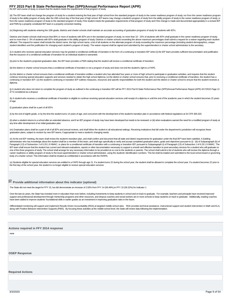# <span id="page-8-0"></span>**FFY 2015 Part B State Performance Plan (SPP)/Annual Performance Report (APR)**<br>the IEP and course of study, to ensure that the student meets the requirements of that program of study.

(iii) The IEP team shall not change the program of study for a student entering the final year of high school from the standard program of study to the career readiness program of study, nor from the career readiness progr of study to the ability program of study, after the 20th school day of the final year of high school. IEP teams may change a student's program of study from the ability program of study to the career readiness program of s from the career readiness program of study to the standard program of study, if the student meets the graduation requirements of that program of study and if the change is made and documented appropriately in a revised IEP and PWN by a properly constituted IEP team in a properly convened meeting.

(iv) Beginning with students entering the 10th grade, districts and charter schools shall maintain an accurate accounting of graduation programs of study for students with IEPs.

Districts and charter schools shall ensure that 80% or more of students with IEPs are in the standard program of study, no more than 10 - 15% of students with IEPs shall graduate in the career readiness program of study, and no more than 1-3% of students with IEPs shall graduate in the ability program of study. Districts or charter schools exceeding the above maximum percentages shall submit a request for a waiver regarding each student affected. The request for waiver shall include the district name, the high school name, a list of all students on the alternate program of study exceeding the maximum percentage (including student demographics, unique student identifiers and the justification for changing each student's program of study). The waiver request shall be signed and submitted by the superintendent or charter school administrator to the secretary.

(i) A student who receives special education services may be granted a conditional certificate of transition in the form of a continuing or transition IEP when: (i) the IEP team provides sufficient documentation and justif that the issuance of a conditional certificate of transition for an individual student is warranted;

(ii) prior to the student's projected graduation date, the IEP team provides a PWN stating that the student will receive a conditional certificate of transition;

(iii) the district or charter school ensures that a conditional certificate of transition is not a program of study and does not end the student's right to a FAPE:

(iv) the district or charter school ensures that a conditional certificate of transition entitles a student who has attended four years or more of high school to participate in graduation activities, and requires that the continue receiving special education supports and services needed to obtain the high school diploma; (v) the district or charter school ensures that, prior to receiving a conditional certificate of transition, the student continuing or transition IEP; (vi) the student's continuing or transition IEP outlines measures, resources and specific responsibilities for both the student and the district or charter school to ensure that the student re diploma.

(i) A student who does not return to complete the program of study as outlined in the continuing or transition IEP will be FFY 2013 Part B State Performance Plan (SPP)/Annual Performance Report (APR) 4/17/2015 Page 12 of 72 considered as a dropout.

(k) A student who receives a conditional certificate of transition is eligible to continue receiving special education services until receipt of a diploma or until the end of the academic year in which the student becomes of age.

(l) graduation plans shall be a part of all IEPs:

(i) by the end of eighth grade, or by the time the student turns 14 years of age, and concurrent with the development of the student's transition plan in accordance with federal regulations at 34 CFR 300.320;

(ii) when a student returns to a school after an extended absence, and if an IEP program of study may have been developed but needs to be reviewed; or (iii) when evaluations warrant the need for a modified program of study any time after development of an initial graduation plan.

(m) Graduation plans shall be a part of all of all IEPs and annual reviews, and shall follow the student in all educational settings. Receiving institutions that fall under the department's jurisdiction will recognize these graduation plans, subject to revision by new IEP teams, if appropriate to meet a student's changing needs.

(n) At the exit IEP meeting, the team shall review the student's transition plan, and shall confirm and document that all state and district requirements for graduation under the final IEP have been satisfied. A building administrator who has knowledge about the student shall be a member of this team, and shall sign specifically to verify and accept completed graduation plans, goals and objectives pursuant to (i) - (iii) of Subparagraph (b Paragraph (13) of Subsection J of 6.29.1.9 NMAC, or plans for a conditional certificate of transition with a continuing or transition IEP, pursuant to Subparagraph (i) of Paragraph (13) of Subsection J of 6.29.1.9 NMAC. Th IEP team shall ensure that the student has current and relevant evaluations, reports or other documentation necessary to support a smooth and effective transition to post-secondary services for a student who will graduate one of the three programs of study. The school shall arrange for any necessary information to be provided at no cost to the students or parents. The school shall submit a list of students who will receive the diploma throu career readiness or ability program of study to the local superintendent or charter school administrator, using the students' identification numbers. This list shall be totaled and submitted to the local school board or go body of a charter school. This information shall be treated as confidential in accordance with the FERPA.

(o) Students eligible for special education services are entitled to a FAPE through age 21. If a student turns 22 during the school year, the student shall be allowed to complete the school year. If a student becomes 22 pr the first day of the school year, the student is no longer eligible to receive special education services

# **Provide additional information about this indicator (optional)**

The State did not meet the target for FFY 15, but did demonstrate an increase of 2.83% from FFY 14 (56.49%) to FFY 15 (59.32%) for Indicator 1.

Over the last six years, the State has invested more in education than ever before, including investments to keep students in school and on track to graduate. For example, teachers and principals have received improved support and professional development through mentorship programs and other resources, and dropout coaches and social workers are in more schools to keep students on track to graduate. Additionally, reading coaches have been added to improve students' foundational skills in earlier grades as an investment in improving graduation rates in the future.

Differentiated monitoring will support and implement Results Driven Accountability (RDA) at targeted middle-school sites. RDA provides technical assistance, instructional support and student intervention in Math and ELA, along with Positive Behavior Intervention Supports (PBIS). By focusing these activities at the middle-school level, the State will review data following the implementation.

**Actions required in FFY 2014 response**

none

**OSEP Response**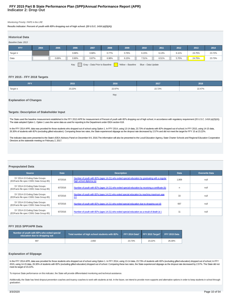# **Indicator 2: Drop Out FFY 2015 Part B State Performance Plan (SPP)/Annual Performance Report (APR)**

#### Monitoring Priority: FAPE in the LRE

**Results indicator: Percent of youth with IEPs dropping out of high school. (20 U.S.C. 1416 (a)(3)(A))**

| <b>Historical Data</b>                                                           |      |       |       |       |       |       |       |       |       |        |        |
|----------------------------------------------------------------------------------|------|-------|-------|-------|-------|-------|-------|-------|-------|--------|--------|
| Baseline Data: 2013                                                              |      |       |       |       |       |       |       |       |       |        |        |
| <b>FFY</b>                                                                       | 2004 | 2005  | 2006  | 2007  | 2008  | 2009  | 2010  | 2011  | 2012  | 2013   | 2014   |
| Target $\leq$                                                                    |      |       | 0.68% | 0.68% | 0.77% | 0.76% | 6.15% | 6.13% | 6.11% | 24.75% | 23.72% |
| Data                                                                             |      | 0.69% | 0.90% | 0.87% | 6.98% | 6.15% | 7.51% | 6.51% | 5.70% | 24.75% | 23.73% |
| Gray - Data Prior to Baseline<br>Key:<br>Yellow - Baseline<br>Blue - Data Update |      |       |       |       |       |       |       |       |       |        |        |

# **FFY 2015 - FFY 2018 Targets**

| <b>FFY</b>    | 2015   | 2016   | 2017   | 2018   |
|---------------|--------|--------|--------|--------|
| Target $\leq$ | 23.22% | 22.97% | 22.72% | 22.47% |
|               |        | Key    |        |        |

#### **Explanation of Changes**

#### **Targets: Description of Stakeholder Input**

The State used the baseline measurement established in the FFY 2013 APR for measurement of Percent of youth with IEPs dropping out of high school, in accordance with regulatory requirement (20 U.S.C. 1416 (a)(3)(A)). The state adopted Option 1. Option 1 uses the same data as used for reporting to the Department under IDEA section 618.

In the FFY 2014 APR, data was provided for those students who dropped out of school using Option 1. In FFY 2014, using 13-14 data, 23.73% of students with IEPs dropped out of school; In FFY 2015, using 14-15 data, 26.30% of students with IEPs (excluding gifted education). Comparing these two rates, the State experienced slippage as the dropout rate decreased by 2.57% and did not meet the target for FFY 15 at 23.22%.

The indicator data were presented to the State's IDEA Advisory Panel on December 8-9, 2016. The information will also be presented to the Local Education Agency, State Charter Schools and Regional Education Cooperative Directors at the statewide meeting on February 2, 2017.

# **Prepopulated Data**

| <b>Source</b>                                                             | <b>Date</b> | <b>Description</b>                                                                                                          | <b>Data</b> | <b>Overwrite Data</b> |
|---------------------------------------------------------------------------|-------------|-----------------------------------------------------------------------------------------------------------------------------|-------------|-----------------------|
| SY 2014-15 Exiting Data Groups<br>(EDFacts file spec C009; Data Group 85) | 6/7/2016    | Number of youth with IEPs (ages 14-21) who exited special education by graduating with a regular<br>high school diploma (a) | 1,909       | null                  |
| SY 2014-15 Exiting Data Groups<br>(EDFacts file spec C009; Data Group 85) | 6/7/2016    | Number of youth with IEPs (ages 14-21) who exited special education by receiving a certificate (b)                          | n           | null                  |
| SY 2014-15 Exiting Data Groups<br>(EDFacts file spec C009; Data Group 85) | 6/7/2016    | Number of youth with IEPs (ages 14-21) who exited special education by reaching maximum age<br>(c)                          | 33          | null                  |
| SY 2014-15 Exiting Data Groups<br>(EDFacts file spec C009; Data Group 85) | 6/7/2016    | Number of youth with IEPs (ages 14-21) who exited special education due to dropping out (d)                                 | 697         | null                  |
| SY 2014-15 Exiting Data Groups<br>(EDFacts file spec C009; Data Group 85) | 6/7/2016    | Number of youth with IEPs (ages 14-21) who exited special education as a result of death (e)                                |             | null                  |

# **FFY 2015 SPP/APR Data**

| Number of youth with IEPs who exited special<br>education due to dropping out | Total number of high school students with IEPs |        | FFY 2014 Data* FFY 2015 Target* FFY 2015 Data |        |
|-------------------------------------------------------------------------------|------------------------------------------------|--------|-----------------------------------------------|--------|
| 697                                                                           | 2.650                                          | 23.73% | 23.22%                                        | 26.30% |

#### **Explanation of Slippage**

In the FFY 2014 APR, data was provided for those students who dropped out of school using Option 1. In FFY 2014, using 13-14 data, 23.73% of students with IEPs (excluding gifted education) dropped out of school; In FFY 2015, using 14-15 data, 26.30% of students with IEPs (excluding gifted education) dropped out of school. Comparing these two rates, the State experienced slippage as the dropout rate decreased by 2.57%. The State did not meet its target of 23.22%.

To improve State performance on this indicator, the State will provide differentiated monitoring and technical assistance.

Additionally, the State has hired dropout prevention coaches and truancy coaches to work with students at risk. In the future, we intend to provide more supports and alternative options in order to keep students in school graduation.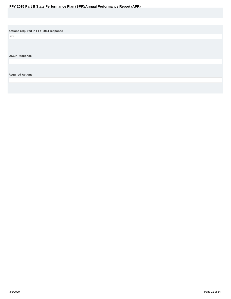<span id="page-10-0"></span>**Actions required in FFY 2014 response**

none

**OSEP Response**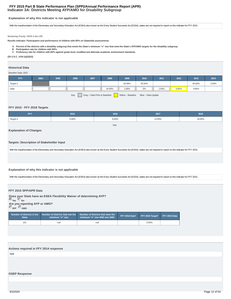# **Indicator 3A: Districts Meeting AYP/AMO for Disability Subgroup FFY 2015 Part B State Performance Plan (SPP)/Annual Performance Report (APR)**

# **Explanation of why this indicator is not applicable**

With the reauthorization of the Elementary and Secondary Education Act (ESEA) also known as the Every Student Succeeds Act (ESSA), states are not required to report on this indicator for FFY 2015.

Monitoring Priority: FAPE in the LRE

**Results indicator: Participation and performance of children with IEPs on Statewide assessments:**

- **A. Percent of the districts with a disability subgroup that meets the State's minimum "n" size that meet the State's AYP/AMO targets for the disability subgroup.**
- **B. Participation rate for children with IEPs.**
- **C. Proficiency rate for children with IEPs against grade level, modified and alternate academic achievement standards.**

**(20 U.S.C. 1416 (a)(3)(A))**

#### **Historical Data**

#### Baseline Data: 2012

| FFY           | 2004 | 2005 | 2006 | 2007 | 2008   | 2009   | 2010   | 2011  | 2012  | 2013   | 2014  |
|---------------|------|------|------|------|--------|--------|--------|-------|-------|--------|-------|
| Target $\geq$ |      |      |      |      |        | 50.00% | 55.50% |       |       | 60.50% | 3.00% |
| Data          |      |      |      |      | 44.40% | 1.69%  | 0%     | 1.64% | 0.92% | 0.95%  |       |

Key: Gray – Data Prior to Baseline Yellow – Baseline Blue – Data Update

# **FFY 2015 - FFY 2018 Targets**

| <b>FFY</b> | 2015  | 2016  | 2017   | 2018   |
|------------|-------|-------|--------|--------|
| Target ≥   | 5.00% | 8.00% | 12.00% | 20.00% |
|            |       | Key:  |        |        |

# **Explanation of Changes**

**Targets: Description of Stakeholder Input**

With the reauthorization of the Elementary and Secondary Education Act (ESEA) also known as the Every Student Succeeds Act (ESSA), states are not required to report on this indicator for FFY 2015.

## **Explanation of why this indicator is not applicable**

With the reauthorization of the Elementary and Secondary Education Act (ESEA) also known as the Every Student Succeeds Act (ESSA), states are not required to report on this indicator for FFY 2015.

# **FFY 2015 SPP/APR Data**

**Does your State have an ESEA Flexibility Waiver of determining AYP? Yes No Are you reporting AYP or AMO? AYP AMO**

| State | $\mathop{\widetilde{\mathsf{minimum}}}$ "n" size | Number of districts in the $\blacksquare$ Number of districts that met the $\blacksquare$ Number of districts that meet the<br>minimum "n" size AND met AMO | FFY 2014 Data* FFY 2015 Target* FFY 2015 Data |  |
|-------|--------------------------------------------------|-------------------------------------------------------------------------------------------------------------------------------------------------------------|-----------------------------------------------|--|
| 151   | null                                             | null                                                                                                                                                        | 5.00%                                         |  |

**Actions required in FFY 2014 response** none

# **OSEP Response**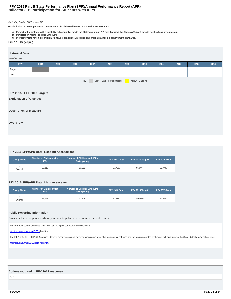# **Indicator 3B: Participation for Students with IEPs FFY 2015 Part B State Performance Plan (SPP)/Annual Performance Report (APR)**

#### Monitoring Priority: FAPE in the LRE

**Results indicator: Participation and performance of children with IEPs on Statewide assessments:**

- **A. Percent of the districts with a disability subgroup that meets the State's minimum "n" size that meet the State's AYP/AMO targets for the disability subgroup.**
- **B. Participation rate for children with IEPs. C. Proficiency rate for children with IEPs against grade level, modified and alternate academic achievement standards.**

#### **(20 U.S.C. 1416 (a)(3)(A))**

#### **Historical Data**

## Baseline Data:

| <b>FFY</b> | 2004                                                                                                                                                                                                                                                                                                                                                                                                                                                               | 2005 | 2006 | 2007 | 2008 | 2009 | 2010 | 2011 | 2012 | 2013 | 2014 |
|------------|--------------------------------------------------------------------------------------------------------------------------------------------------------------------------------------------------------------------------------------------------------------------------------------------------------------------------------------------------------------------------------------------------------------------------------------------------------------------|------|------|------|------|------|------|------|------|------|------|
| Target     |                                                                                                                                                                                                                                                                                                                                                                                                                                                                    |      |      |      |      |      |      |      |      |      |      |
| Data       |                                                                                                                                                                                                                                                                                                                                                                                                                                                                    |      |      |      |      |      |      |      |      |      |      |
|            | $\sqrt{\frac{1}{1-\frac{1}{1-\frac{1}{1-\frac{1}{1-\frac{1}{1-\frac{1}{1-\frac{1}{1-\frac{1}{1-\frac{1}{1-\frac{1}{1-\frac{1}{1-\frac{1}{1-\frac{1}{1-\frac{1}{1-\frac{1}{1-\frac{1}{1-\frac{1}{1-\frac{1}{1-\frac{1}{1-\frac{1}{1-\frac{1}{1-\frac{1}{1-\frac{1}{1-\frac{1}{1-\frac{1}{1-\frac{1}{1-\frac{1}{1-\frac{1}{1-\frac{1}{1-\frac{1}{1-\frac{1}{1-\frac{1}{1-\frac{1}{1-\frac{1}{1-\frac{1}{1-\frac{1}{1-\frac$<br>Gray - Data Prior to Baseline<br>Key: |      |      |      |      |      |      |      |      |      |      |

# **FFY 2015 - FFY 2018 Targets**

**Explanation of Changes**

# **Description of Measure**

**Overview**

# **FFY 2015 SPP/APR Data: Reading Assessment**

| <b>Group Name</b> | Number of Children with<br><b>IEPs</b> | Number of Children with IEPs<br><b>Participating</b> | FFY 2014 Data* | FFY 2015 Target* | FFY 2015 Data |
|-------------------|----------------------------------------|------------------------------------------------------|----------------|------------------|---------------|
| Overall           | 33.319                                 | 31.911                                               | 97.75%         | 95.00%           | 95.77%        |

# **FFY 2015 SPP/APR Data: Math Assessment**

| Group Name | Number of Children with<br><b>IEPs</b> | Number of Children with IEPs<br><b>Participating</b> | FFY 2014 Data* | FFY 2015 Target* | FFY 2015 Data |
|------------|----------------------------------------|------------------------------------------------------|----------------|------------------|---------------|
| Overall    | 33.241                                 | 31.716                                               | 97.82%         | 95.00%           | 95.41%        |

## **Public Reporting Information**

Provide links to the page(s) where you provide public reports of assessment results.

The FFY 2015 performance data along with data from previous years can be viewed at

http://ped.state.nm.us/ped/SEB\_data.html

The IDEA at 34 CFR 300.160(f) requires States to report assessment data, for participation rates of students with disabilities and the proficiency rates of students with disabilities at the State, district and/or school le

http://ped.state.nm.us/SEB/data/index.html.

# **Actions required in FFY 2014 response**

none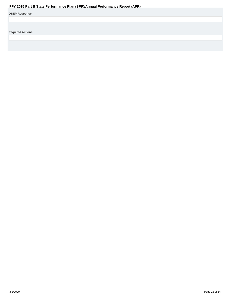<span id="page-14-0"></span>

| <b>OSEP Response</b> |  |
|----------------------|--|
|----------------------|--|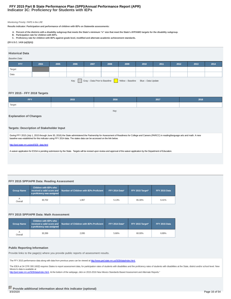# **Indicator 3C: Proficiency for Students with IEPs FFY 2015 Part B State Performance Plan (SPP)/Annual Performance Report (APR)**

#### Monitoring Priority: FAPE in the LRE

**Results indicator: Participation and performance of children with IEPs on Statewide assessments:**

- **A. Percent of the districts with a disability subgroup that meets the State's minimum "n" size that meet the State's AYP/AMO targets for the disability subgroup.**
- **B. Participation rate for children with IEPs. C. Proficiency rate for children with IEPs against grade level, modified and alternate academic achievement standards.**

#### **(20 U.S.C. 1416 (a)(3)(A))**

#### **Historical Data**

#### Baseline Data:

| FFY.   | 2004                                                                          | 2005 | 2006 | 2007 | 2008 | 2009 | 2010 | 2011 | 2012 | 2013 | 2014 |
|--------|-------------------------------------------------------------------------------|------|------|------|------|------|------|------|------|------|------|
| Target |                                                                               |      |      |      |      |      |      |      |      |      |      |
| Data   |                                                                               |      |      |      |      |      |      |      |      |      |      |
|        | Yellow - Baseline Blue - Data Update<br>Gray - Data Prior to Baseline<br>Key: |      |      |      |      |      |      |      |      |      |      |

## **FFY 2015 - FFY 2018 Targets**

| <b>FFY</b>          | 2015 | 2016 | 2017 | 2018 |
|---------------------|------|------|------|------|
| <sup>1</sup> Target |      |      |      |      |

Key:

# **Explanation of Changes**

# **Targets: Description of Stakeholder Input**

During FFY 2015 (July 1, 2015 through June 30, 2016) the State administered the Partnership for Assessment of Readiness for College and Careers (PARCC) in reading/language arts and math. A new baseline was established for this indicator using FFY 2014 data. The states data can be accessed on the link below.

#### http://ped.state.nm.us/ped/SEB\_data.html

A waiver application for ESSA is pending submission by the State. Targets will be revised upon review and approval of the waiver application by the Department of Education.

# **FFY 2015 SPP/APR Data: Reading Assessment**

| <b>Group Name</b> | <b>Children with IEPs who</b><br>a proficiency was assigned | received a valid score and Number of Children with IEPs Proficient | FFY 2014 Data* | FFY 2015 Target* | FFY 2015 Data |
|-------------------|-------------------------------------------------------------|--------------------------------------------------------------------|----------------|------------------|---------------|
| Overall           | 30.702                                                      | 1.967                                                              | 5.13%          | 65.30%           | 6.41%         |

# **FFY 2015 SPP/APR Data: Math Assessment**

| <b>Group Name</b> | <b>Children with IEPs who</b><br>a proficiency was assigned | received a valid score and Number of Children with IEPs Proficient | <b>FFY 2014 Data*</b> | FFY 2015 Target* | FFY 2015 Data |
|-------------------|-------------------------------------------------------------|--------------------------------------------------------------------|-----------------------|------------------|---------------|
| Overall           | 30.399                                                      | 2.095                                                              | 5.66%                 | 60.00%           | 6.89%         |

#### **Public Reporting Information**

Provide links to the page(s) where you provide public reports of assessment results.

The FFY 2015 performance data along with data from previous years can be viewed at http://www.ped.state.nm.us/SEB/data/index.html.

The IDEA at 34 CFR 300.160(f) requires States to report assessment data, for participation rates of students with disabilities and the proficiency rates of students with disabilities at the State, district and/or school le Mexico's data is available at

http://ped.state.nm.us/SEB/data/index.html. At the bottom of the webpage, click on 2015-2016 New Mexico Standards Based Assessment and Alternate Reports."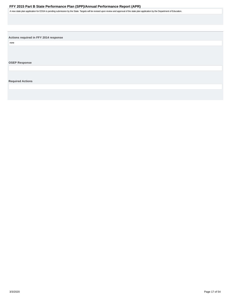<span id="page-16-0"></span>A new state plan application for ESSA is pending submission by the State. Targets will be revised upon review and approval of the state plan application by the Department of Education.

**Actions required in FFY 2014 response**

none

**OSEP Response**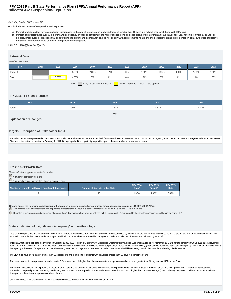# **Indicator 4A: Suspension/Expulsion FFY 2015 Part B State Performance Plan (SPP)/Annual Performance Report (APR)**

#### Monitoring Priority: FAPE in the LRE

**Results indicator: Rates of suspension and expulsion:**

**A. Percent of districts that have a significant discrepancy in the rate of suspensions and expulsions of greater than 10 days in a school year for children with IEPs; and Percent of districts that have: (a) a significant discrepancy, by race or ethnicity, in the rate of suspensions and expulsions of greater than 10 days in a school year for children with IEPs; and (b) B. policies, procedures or practices that contribute to the significant discrepancy and do not comply with requirements relating to the development and implementation of IEPs, the use of positive behavioral interventions and supports, and procedural safeguards.**

#### **(20 U.S.C. 1416(a)(3)(A); 1412(a)(22))**

# **Historical Data**

#### Baseline Data: 2005

| <b>FFY</b>                                                                       | 2004 | 2005  | 2006  | 2007  | 2008  | 2009 | 2010  | 2011  | 2012  | 2013  | 2014  |
|----------------------------------------------------------------------------------|------|-------|-------|-------|-------|------|-------|-------|-------|-------|-------|
| Target $\leq$                                                                    |      |       | 6.20% | 2.20% | 2.20% | 0%   | 1.96% | 1.96% | 1.96% | 1.96% | 1.93% |
| Data                                                                             |      | 5.60% | 4.50% | 0%    | 0%    | 0%   | 1.96% | 0%    | 0%    | 0%    | 1.37% |
| Key:<br>Gray - Data Prior to Baseline<br>Yellow - Baseline<br>Blue - Data Update |      |       |       |       |       |      |       |       |       |       |       |

#### **FFY 2015 - FFY 2018 Targets**

| <b>FFY</b>    | 2015  | 2016  | 2017  | 2018  |
|---------------|-------|-------|-------|-------|
| Target $\leq$ | 1.90% | 1.87% | 1.84% | 1.81% |

Key:

#### **Explanation of Changes**

#### **Targets: Description of Stakeholder Input**

The indicator data were presented to the State's IDEA Advisory Panel on December 8-9, 2016. The information will also be presented to the Local Education Agency, State Charter Schools and Regional Education Cooperative Directors at the statewide meeting on February 2, 2017. Both groups had the opportunity to provide input on the measurable improvement activities.

#### **FFY 2015 SPP/APR Data**

Please indicate the type of denominator provided

**Number of districts in the State** 

Number of districts that met the State's minimum n-size

| Number of districts that have a significant discrepancy | Number of districts in the State | <b>FFY 2014</b><br>Data* | <b>FFY 2015</b><br>Target* | <b>FFY 2015</b><br><b>Data</b> |
|---------------------------------------------------------|----------------------------------|--------------------------|----------------------------|--------------------------------|
|                                                         | 146                              | .37%                     | 1.90%                      | 0.68%                          |

**Choose one of the following comparison methodologies to determine whether significant discrepancies are occurring (34 CFR §300.170(a)):** Compare the rates of suspensions and expulsions of greater than 10 days in a school year for children with IEPs among LEAs in the State

The rates of suspensions and expulsions of greater than 10 days in a school year for children with IEPs in each LEA compared to the rates for nondisabled children in the same LEA

#### **State's definition of "significant discrepancy" and methodology**

Data on the suspensions and expulsions of children with disabilities was derived from the IDEA Section 618 data submitted by the LEAs via the STARS data warehouse as part of the annual End-of-Year data collection. The information was submitted by the student's unique identification number. The data was verified through the checks and balances of STARS and validated by SEB staff.

This data was used to populate the Information Collection 1820-0621 (Report of Children with Disabilities Unilaterally Removed or Suspended/Expelled for More than 10 Days) for the school year 2014-2015 due in November 2015. Information Collection 1820-0621 (Report of Children with Disabilities Unilaterally Removed or Suspended/Expelled for More than 10 Days) was used to determine significant discrepancy. The State defines a significant discrepancy in the rates of suspension and expulsions of greater than 10 days in a school year for students with IEPs (disabilities) among LEAs in the State if the following criteria are met:

The LEA must have an "n" size of greater than 10 suspensions and expulsions of students with disabilities greater than 10 days in a school year; and

The rate of suspensions/expulsions for students with IEPs is more than 1% higher than the average rate of suspensions and expulsions greater than 10 days among LEAs in the State.

The rates of suspensions and expulsions of greater than 10 days in a school year for students with IEPs were compared among LEAs in the State. If the LEA had an "n" size of greater than 10 students with disabilities suspended or expelled greater than 10 days and a long term suspension and expulsion rate for students with IEPs that was 1% or higher than the State average (1.2% or above), they were considered to have a significant discrepancy in the rates of suspensions and expulsions.

Out of 146 LEAs, 144 were excluded from the calculation because the district did not meet the minimum "n" size.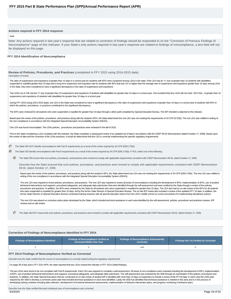#### **Actions required in FFY 2014 response**

#### none

Note: Any actions required in last year's response that are related to correction of findings should be responded to on the "Correction of Previous Findings of Noncompliance" page of this indicator. If your State's only actions required in last year's response are related to findings of noncompliance, a text field will not be displayed on this page.

#### **FFY 2014 Identification of Noncompliance**

**Review of Policies, Procedures, and Practices** (completed in FFY 2015 using 2014-2015 data) Description of review

The rates of suspensions and expulsions of greater than 10 days in a school year for students with IEPs were compared among LEAs in the state. If the LEA had an "n" size of greater than 10 students with disabilities suspended or expelled greater than 10 days and a long term suspension and expulsion rate for students with IEPs that was 1% or higher than the average rate of suspensions and expulsions greater than 10 days among LEAs in the State, they were considered to have a significant discrepancy in the rates of suspensions and expulsions.

Two LEAs out of 146 met the "n" size of greater than 10 suspensions and expulsions of students with disabilities for greater than 10 days in a school year. One hundred forty-four LEAs did not meet the "n"size of greater th suspensions and expulsions of students with disabilities for greater than 10 days in a school year.

During FFY 2015 (using 2014-2015 data), one LEA in the State was considered to have a significant discrepancy in the rates of suspensions and expulsions of greater than 10 days in a school year of students with IEPs in which the policies, procedures, or practices contributed to the significant discrepancy.

The IEPs were reviewed for all students who were suspended or expelled for greater than 10 days through a desk audit completed by Special Education Bureau. The IEP checklist is attached to this indicator.

Based upon the review of the policies, procedures, and practices along with the student's IEPs, the State determined the one LEA was not meeting the requirements of 34 CFR §170(b). The one LEA was notified in writing of the non-compliance in accordance with the Integrated Special Education Accountability System (ISEAS).

One LEA was found noncompliant. The LEA's policies, procedures and practices were reviewed in the fall of 2015.

Prior to the State considering a LEA compliant with this indicator, the State completes a subsequent review of an updated set of data in accordance with the OSEP 09-02 Memorandum (dated October 17, 2008). Based upon this review of data and the correction of the LEA's practices, it would be determined that the LEA is correctly implementing the specific regulatory requirements.

The State DID NOT identify noncompliance with Part B requirements as a result of the review required by 34 CFR §300.170(b)

The State DID identify noncompliance with Part B requirements as a result of the review required by 34 CFR §300.170(b). If YES, select one of the following:

The State DID ensure that such policies, procedures, and practices were revised to comply with applicable requirements consistent with OSEP Memorandum 09-02, dated October 17, 2008.

Describe how the State ensured that such policies, procedures, and practices were revised to comply with applicable requirements consistent with OSEP Memorandum 09-02, dated October 17, 2008.

Based upon the review of the policies, procedures, and practices along with the student's IEPs, the State determined one LEA was not meeting the requirements of 34 CFR §300.170(b). The one LEA was notified in writing of the non-compliance in accordance with the Integrated Special Education Accountability System (ISEAS).

The one LEA was required to revise policies, procedures, and practices. The one LEA was required to review all areas of noncompliance including the development of IEPs, implementation of IEPs, use of positive behavioral interventions and supports, procedural safeguards, and adequate data submission that were identified through the self-assessment and were verified by the State through a review of the policies, procedures and practices. In addition, the IEPs were reviewed by the State for all students who were suspended or expelled for greater than 10 days. The LEA also had an on-site review of the IEPs for all students .<br>who were suspended or expelled for greater than 10 days, led by the former State Director of Special Education Bureau. The on-site IEP review also included a review of the updated FFY 16 data. In addition, the former State Director of Special Education Bureau conducted training sessions with all special education teams from the LEA's middle school on correct procedures for implementing disciplinary actions.

The one LEA was placed on corrective action plans developed by the State, which included technical assistance in each area identified by the self-assessment, policies, procedures and practices reviews, IEP reviews and on-site review.

The State did NOT ensure that such policies, procedures, and practices were revised to comply with applicable requirements consistent with OSEP Memorandum 09-02, dated October 17, 2008.

#### **Correction of Findings of Noncompliance Identified in FFY 2014**

| Findings of Noncompliance Identified | Findings of Noncompliance Verified as<br><b>Corrected Within One Year</b> | <b>Findings of Noncompliance Subsequently</b><br>Corrected | Findings Not Yet Verified as Corrected |  |
|--------------------------------------|---------------------------------------------------------------------------|------------------------------------------------------------|----------------------------------------|--|
|                                      |                                                                           | nuli                                                       |                                        |  |

#### **FFY 2014 Findings of Noncompliance Verified as Corrected**

Describe how the State verified that the source of noncompliance is correctly implementing the regulatory requirements

On page 38 of last year's FFY 2014 APR, the state reported that two LEAs missed the indicator in FFY 2014 (initial findings).

The two LEAs were found to be non-compliant with Part B requirements. Each LEA was required to complete a self-assessment. All areas of non-compliance were reviewed including the development of IEPs, implementation of IEPs, use of positive behavioral interventions and supports, procedural safeguards, and adequate data submission. The self-assessment was reviewed by the SEB through an examination of the policies, procedures and practices. In addition, the State Special Education Director conducted an on-site review of student IEP's identified with more than 10 days of suspension to include a review of the FFY16 data. In each case the LEA's were required by the SEB to develop a corrective action plan that included technical assistance in each area identified. Lastly, the SEB has identified that technical assistance is needed in this area and is in the process of developing training modules including data collection, development of functional behavioral assessments, implementation of behavior intervention plans, and progress monitoring of behavior plans.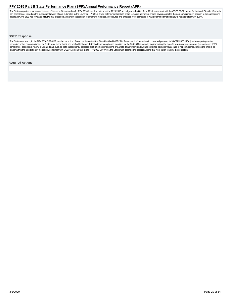<span id="page-19-0"></span>The State completed a subsequent review of the end-of-the-year data for FFY 2016 (discipline data from the 2015-2016 school year submitted June 2016), consistent with the OSEP 09-02 memo, for the two LEAs identified with non-compliance. Based on the subsequent review of data submitted by the LEAs for FFY 2016, it was determined that both of the LEAs did not have a finding having corrected the non-compliance. In addition to the subsequent data review, the SEB has reviewed all IEP's that exceeded 10 days of suspension to determine if polices, procedures and practices were corrected. It was determined that both LEAs met the target with 100%.

# **OSEP Response**

The State must report, in the FFY 2016 SPP/APR, on the correction of noncompliance that the State identified in FFY 2015 as a result of the review it conducted pursuant to 34 CFR §300.170(b). When reporting on the correction of this noncompliance, the State must report that it has verified that each district with noncompliance identified by the State: (1) is correctly implementing the specific regulatory requirements (i.e., achieved compliance) based on a review of updated data such as data subsequently collected through on-site monitoring or a State data system; and (2) has corrected each individual case of noncompliance, unless the child is no longer within the jurisdiction of the district, consistent with OSEP Memo 09-02. In the FFY 2016 SPP/APR, the State must describe the specific actions that were taken to verify the correction.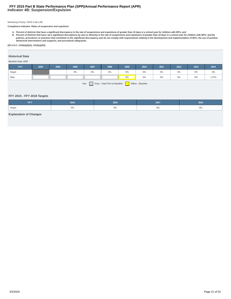# **Indicator 4B: Suspension/Expulsion FFY 2015 Part B State Performance Plan (SPP)/Annual Performance Report (APR)**

# Monitoring Priority: FAPE in the LRE

**Compliance indicator: Rates of suspension and expulsion:**

A. Percent of districts that have a significant discrepancy in the rate of suspensions and expulsions of greater than 10 days in a school year for children with IEPs; and<br>B. Percent of districts that have: (a) a significan **behavioral interventions and supports, and procedural safeguards.**

# **(20 U.S.C. 1416(a)(3)(A); 1412(a)(22))**

# **Historical Data**

#### Baseline Data: 2009

| Target<br>0%<br>0%<br>0%<br>0%<br>0%<br>0%<br>0%<br>0% | FFY | 2004 | 2005 | 2006 | 2007 | 2008 | 2009 | 2010 | 2011 | 2012 | 2013 | 2014  |
|--------------------------------------------------------|-----|------|------|------|------|------|------|------|------|------|------|-------|
|                                                        |     |      |      |      |      |      |      |      |      |      |      | $0\%$ |
| Data<br>0%<br>0%<br>0%<br>0%<br>0%                     |     |      |      |      |      |      |      |      |      |      |      | 1.37% |

Key: Gray – Data Prior to Baseline Yellow – Baseline

# **FFY 2015 - FFY 2018 Targets**

| FFV<br>. | 2015  | 2016 | 2017 | 2018  |
|----------|-------|------|------|-------|
| Target   | $0\%$ | U%   | U%   | $0\%$ |

# **Explanation of Changes**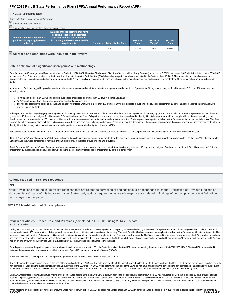#### **FFY 2015 SPP/APR Data**

Please indicate the type of denominator provided

| T.<br>Number of districts in the State<br>Number of districts that met the State's minimum n-size |                                                                                                                                                                       |                                  |                          |                            |                                |
|---------------------------------------------------------------------------------------------------|-----------------------------------------------------------------------------------------------------------------------------------------------------------------------|----------------------------------|--------------------------|----------------------------|--------------------------------|
| Number of districts that have a<br>significant discrepancy, by race or<br>ethnicity               | Number of those districts that have<br>policies, procedures, or practices<br>that contribute to the significant<br>discrepancy and do not comply with<br>requirements | Number of districts in the State | <b>FFY 2014</b><br>Data* | <b>FFY 2015</b><br>Target* | <b>FFY 2015</b><br><b>Data</b> |
|                                                                                                   |                                                                                                                                                                       | 146                              | 1.37%                    | $0\%$                      | 0.68%                          |

**All races and ethnicities were included in the review**

# **State's definition of "significant discrepancy" and methodology**

Data for Indicator 4B were gathered from the Information Collection 1820-0621 (Report of Children with Disabilities Subject to Disciplinary Removal) submitted to OSEP in November 2015 (discipline data from the 2014-2015 school year). The LEAs were required to submit their discipline data during the End- Of-Year (EOY) data collection period, which was submitted to the State on June 30, 2015. The suspension and expulsion data was disaggregated by LEA and race and ethnicity to determine if the LEA had a significant discrepancy, by race and ethnicity, in the rate of suspensions and expulsions of greater than 10 days in a school year for children with IEP's.

In order for a LEA to be flagged for possible significant discrepancy, by race and ethnicity, in the rate of suspensions and expulsions of greater than 10 days in a school year for children with IEP's, the LEA must meet th following criteria:

- An "n" size of greater than 10 students or more suspended or expelled for greater than 10 days in a school year; and
- An "n" size of greater than 10 students in any race or ethnicity category; and
- The rate of suspension/expulsions, by race and ethnicity, for children with IEPs is more than 1% greater than the average rate of suspension/expulsions greater than 10 days in a school year for students with IEPs among LEAs in the State.

This represents the first stage (flagging) in the significant discrepancy determination process. In order to determine if the LEA had significant discrepancy by race and ethnicity in the rates of suspensions and expulsions greater than 10 days in a school year for children with IEPs, and to determine if the LEA's policies, procedures, or practices contributed to the significant discrepancy and do not comply with requirements relating to the development and implementation of IEPs, use of positive behavioral interventions and supports, and procedural safeguards, the LEA is required to complete the Indicator 4 self-assessment attached to this indicator. The Stat reviews the self-assessment along with the LEAs policies, procedures and practices, including student data. After that review, it is determined if the deficient or noncompliant policies, procedures, and practices contribut the significant discrepancy in the rates of suspension and expulsions by race and ethnicity for children with IEPs.

The state has established a minimum "n" size of greater than 10 students with IEPs in any of the race or ethnicity categories who have suspensions and expulsions of greater than 10 days in a school year.

If the LEA had an "n" size of greater than 10 students with disabilities with suspensions or expulsions greater than 10 days and a long term suspension and expulsion rate for students with IEPs that was 1% or higher than t State average, they were considered to have a significant discrepancy in the rates of suspensions and expulsions.

Two LEAs out of 146 met the "n" size of greater than 10 suspensions and expulsions in any of the race or ethnicity categories of greater than 10 days in a school year. One hundred forty-four LEAs did not meet the "n" size greater than 10 suspensions and expulsions of students in the race or ethnicity categories of greater than 10 days in a school year.

#### **Actions required in FFY 2014 response**

#### none

Note: Any actions required in last year's response that are related to correction of findings should be responded to on the "Correction of Previous Findings of Noncompliance" page of this indicator. If your State's only actions required in last year's response are related to findings of noncompliance, a text field will not be displayed on this page.

#### **FFY 2014 Identification of Noncompliance**

**Review of Policies, Procedures, and Practices** (completed in FFY 2015 using 2014-2015 data) Description of review

During FFY 2015 (using 2014-2015 data), two of the LEAs in the State were considered to have a significant discrepancy by race and ethnicity in the rates of suspensions and expulsions of greater than 10 days in a school year of students with IEPs in which the policies, procedures, or practices contributed to the significant discrepancy. The two LEAs identified were required to complete the Indicator 4 self-assessment located in Appendix. self-assessment includes the LEA's use of positive behavioral interventions and supports and the implementation of the procedural safeguards. The State also used the self-assessment to review the LEAs policies, procedures, and practices relating to the development and implementation of IEPs. In addition, the IEPs were reviewed by the State for all students who were suspended or expelled for greater than 10 days. In addition, one of the LEAs had an on-site review of the IEPs by the Special Education Bureau. The IEP checklist is attached to this indicator.

Based upon the review of the policies, procedures, and practices along with the student's IEPs, the State determined the two LEAs were not meeting the requirements of 34 CFR §300.170(b). The two LEAs were notified in writing of the non-compliance in accordance with the Integrated Special Education Accountability System (ISEAS).

Two LEAs were found noncompliant. The LEA's policies, procedures and practices were reviewed in the fall of 2016.

The State completed a subsequent review of the end-of-the-year data for FFY 2016 (discipline data from the 2015-2016 school year submitted June 2016), consistent with the OSEP 09-02 memo, for the two LEAs identified with non-compliance. Based on the subsequent review of data submitted by the LEAs for FFY 2016, it was determined that one of the LEAs did not have a finding having corrected the non-compliance. In addition to the subsequent data review, the SEB has reviewed all IEP's that exceeded 10 days of suspension to determine if polices, procedures and practices were corrected. It was determined that the LEA has met the target with 100%.

One LEA was identifed to have a continued finding of non-compliance according to the LEA's STARS data. In addition to the subsequent data review, the SEB has requested all IEP's that exceeded 10 days of suspension to determine if policies, procedures and practices are consistent with the initial finding. An additional subsequent data review, consistent with the OSEP 09-02 memo, will be completed with a review of the LEA's data for the 2016-2017 school year for all students with IEP's having over 10 days of suspension from the first day of school until the 120th day. The State will update the status on the one LEA with remaining non-compliance during the open submission of the Annual Performance Report in April 2017.

When reporting on the correction of noncompliance, the State must report, in its FFY 2015 APR, that it has verified that each LEA with noncompliance identified in FFY 2014 for this indicator: (1) is correctly implementing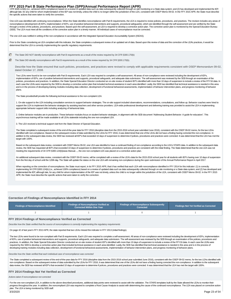FFY 2015 Part B State Performance Plan (SPP)/Annual Performance Report (APR)<br>CFR §300.124(b) (i.e., achieved 100% compliance) based on a review of updated data such as data subsequently collected through on-site monitoring although late, for any child for whom implementation of the IEP was not timely, unless the child is no longer within the jurisdiction of the LEA, consistent with OSEP Memo 09-02. In the FFY 2015 APR, the State must describe the specific actions that were taken to verify the correction.

One LEA was identified with continuing noncompliance. When the State identifies noncompliance with Part B requirements, the LEA is required to revise policies, procedures, and practices. The revision includes any areas of noncompliance (development of) IEPs, implementation of IEPs, use of positive behavioral interventions and supports, procedural safeguards), which are identified through the self-assessment and are verified by the State through a review of the policies, procedures, and practices. Based upon the self-assessment, an LEA is required to develop a corrective action plan. The corrective action plan is monitored by the Special Education Bureau (SEB). The LEA must meet all the conditions of the corrective action plan in a timely manner. All individual cases of noncompliance must be corrected.

The one LEA was notified in writing of the non-compliance in accordance with the Integrated Special Education Accountability System (ISEAS).

Prior to the State considering an LEA compliant with this indicator, the State completes a subsequent review of an updated set of data. Based upon this review of data and the correction of the LEA's practices, it would be determined that the LEA is correctly implementing the specific regulatory requirements.

- The State DID NOT identify noncompliance with Part B requirements as a result of the review required by 34 CFR §300.170(b)
- The State DID identify noncompliance with Part B requirements as a result of the review required by 34 CFR §300.170(b).

Describe how the State ensured that such policies, procedures, and practices were revised to comply with applicable requirements consistent with OSEP Memorandum 09-02, dated October 17, 2008.

Two LEAs were found to be non-compliant with Part B requirements. Each LEA was required to complete a self-assessment. All areas of non-compliance were reviewed including the development of IEPs, implementation of IEPs, use of positive behavioral interventions and supports, procedural safeguards, and adequate data submission. The self-assessment was reviewed by the SEB through an examination of the policies, procedures and practices. In addition, the State Special Education Director conducted an on-site review of student IEP's identified with more than 10 days of suspension to include a review of the FFY16 data. In each case the LEA's were required by the SEB to develop a corrective action plan that included technical assistance in each area identified. Lastly, the SEB has identified that technical assistance is needed in this area and is in the process of developing training modules including data collection, development of functional behavioral assessments, implementation of behavior intervention plans, and progress monitoring of behavior plans.

The State provided/will provide the following technical assistance to the non-complaint LEA:

1. On-site support to the LEA including consultation services to support behavior strategies. The on-site support included observations, recommendations, consultations, and follow up. Behavior coaches were hired to support the LEA to implement the behavior strategies by assisting teachers and other service providers. LEA-wide professional development and delivering training was provided to assist the LEA in implementing appropriate behavior support skils including analyzing of behavioral data.

2. Online behavior modules are in production. These behavior modules focus on student behavior strategies, in alignment with the SEB document "Addressing Student Behavior: A guide for educators". This asynchronous training will be made available to all LEAs statewide including the one non-compliant LEA.

3. The LEA received a technical support visit from the State Director of Special Education.

The State completed a subsequent review of the end-of-the-year data for FFY 2016 (discipline data from the 2015-2016 school year submitted June 2016), consistent with the OSEP 09-02 memo, for the two LEAs identified with non-compliance. Based on the subsequent review of data submitted by the LEAs for FFY 2016, it was determined that one of the LEAs did not have a finding having corrected the non-compliance. In addition to the subsequent data review, the SEB has reviewed all IEP's that exceeded 10 days of suspension to determine if polices, procedures and practices were corrected. It was determined that the LEA has met the target with 100%.

Based on the subsequent data review, consistent with OSEP Memo 09-02, one LEA was identifed to have a continued finding of non-compliance according to the LEA's STARS data. In addition to the subsequent data review, the SEB has requested all IEP's that exceeded 10 days of suspension to determine if policies, procedures and practices are consistent with the initial finding. The State determined that the one LEA was not meeting the requirements of 34 CFR §300.124(b)iseas Manual...., the one non-compliant LEA was placed on a corrective action plan.

An additional subsequent data review, consistent with the OSEP 09-02 memo, will be completed with a review of the LEA's data for the 2015-2016 school year for all students with IEP's having over 10 days of suspension from the first day of school until the 120th day. The State will update the status on the one LEA with remaining non-compliance during the open submission of the Annual Performance Report in April 2017.

When reporting on the correction of noncompliance, the State must report, in its FFY 2015 APR, that it has verified that each LEA with noncompliance identified in FFY 2014 for this indicator: (1) is correctly implementing 34 CFR §300.124(b) (i.e., achieved 100% compliance) based on a review of updated data such as data subsequently collected through on-site monitoring or a State data system; and (2) has developed and implemented the IEP, although late, for any child for whom implementation of the IEP was not timely, unless the child is no longer within the jurisdiction of the LEA, consistent with OSEP Memo 09-02. In the FFY 2015 APR, the State must describe the specific actions that were taken to verify the correction.

#### **Correction of Findings of Noncompliance Identified in FFY 2014**

| Findings of Noncompliance Identified | <b>Findings of Noncompliance Verified as</b><br>Corrected Within One Year | <b>Findings of Noncompliance Subsequently</b><br><b>Corrected</b> | <b>Findings Not Yet Verified as Corrected</b> |  |
|--------------------------------------|---------------------------------------------------------------------------|-------------------------------------------------------------------|-----------------------------------------------|--|
|                                      |                                                                           |                                                                   |                                               |  |

#### **FFY 2014 Findings of Noncompliance Verified as Corrected**

Describe how the State verified that the source of noncompliance is correctly implementing the regulatory requirements

On page 42 of last year's FFY 2013 APR, the state reported that two LEAs missed the indicator in FFY 2013 (initial findings).

The two LEAs were found to be non-compliant with Part B requirements. Each LEA was required to complete a self-assessment. All areas of non-compliance were reviewed including the development of IEPs, implementation of IEPs, use of positive behavioral interventions and supports, procedural safeguards, and adequate data submission. The self-assessment was reviewed by the SEB through an examination of the policies, procedures and practices. In addition, the State Special Education Director conducted an on-site review of student IEP's identified with more than 10 days of suspension to include a review of the FFY16 data. In each case the LEA's were required by the SEB to develop a corrective action plan that included technical assistance in each area identified. Lastly, the SEB has identified that technical assistance is needed in this area and is in the process of developing training modules including data collection, development of functional behavioral assessments, implementation of behavior intervention plans, and progress monitoring of behavior plans.

Describe how the State verified that each individual case of noncompliance was corrected

The State completed a subsequent review of the end-of-the-year data for FFY 2016 (discipline data from the 2015-2016 school year submitted June 2016), consistent with the OSEP 09-02 memo, for the two LEAs identified with non-compliance. Based on the subsequent review of data submitted by the LEAs for FFY 2016, it was determined that one of the LEAs did not have a finding having corrected the non-compliance. In addition to the subsequent data review, the SEB has reviewed all IEP's that exceeded 10 days of suspension to determine if polices, procedures and practices were corrected. It was determined that the LEA has met the target with 100%.

#### **FFY 2014 Findings Not Yet Verified as Corrected**

Actions taken if noncompliance not corrected

For the one non-compliant LEA, in addition to the above-described procedures, additional data points were reviewed to assist with the validation. The STARS templates built by the State allowed the LEAs to monitor their progress throughout the year. In addition, the noncompliant LEA was required to complete a Root Cause Analysis to assist with determining the cause of the continued noncompliance. The LEA was placed on corrective action plan. The LEA is being monitored by SEB staff.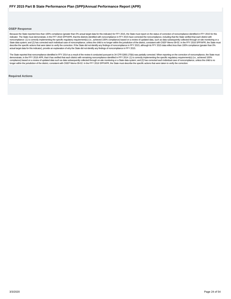# <span id="page-23-0"></span>**OSEP Response**

Because the State reported less than 100% compliance (greater than 0% actual target data for this indicator) for FFY 2015, the State must report on the status of correction of noncompliance identified in FFY 2015 for this indicator. The State must demonstrate, in the FFY 2016 SPP/APR, that the districts identified with noncompliance in FFY 2015 have corrected the noncompliance, including that the State verified that each district with noncompliance: (1) is correctly implementing the specific regulatory requirement(s) (i.e., achieved 100% compliance) based on a review of updated data, such as data subsequently collected through on-site monitoring or a State data system; and (2) has corrected each individual case of noncompliance, unless the child is no longer within the jurisdiction of the district, consistent with OSEP Memo 09-02. In the FFY 2016 SPP/APR, the State mus actual target data for this indicator), provide an explanation of why the State did not identify any findings of noncompliance in FFY 2015.

The State reported that noncompliance identified in FFY 2014 as a result of the review it conducted pursuant to 34 CFR §300.170(b) was partially corrected. When reporting on the correction of noncompliance, the State must demonstrate, in the FFY 2016 APR, that it has verified that each district with remaining noncompliance identified in FFY 2014: (1) is correctly implementing the specific regulatory requirement(s) (i.e., achieved 100% compliance) based on a review of updated data such as data subsequently collected through on-site monitoring or a State data system; and (2) has corrected each individual case of noncompliance, unless the child is no<br>longe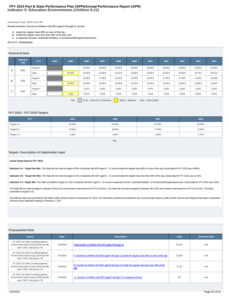# **Indicator 5: Education Environments (children 6-21) FFY 2015 Part B State Performance Plan (SPP)/Annual Performance Report (APR)**

#### Monitoring Priority: FAPE in the LRE

**Results indicator: Percent of children with IEPs aged 6 through 21 served:**

- **A. Inside the regular class 80% or more of the day;**
- **B. Inside the regular class less than 40% of the day; and**
- **C. In separate schools, residential facilities, or homebound/hospital placements.**

**(20 U.S.C. 1416(a)(3)(A))**

#### **Historical Data**

|   | <b>Baseline</b><br>Year | <b>FFY</b>    | 2004 | 2005   | 2006                     | 2007   | 2008                     | 2009   | 2010   | 2011   | 2012   | 2013   | 2014   |
|---|-------------------------|---------------|------|--------|--------------------------|--------|--------------------------|--------|--------|--------|--------|--------|--------|
|   | 2005                    | Target $\geq$ |      |        | 54.00%                   | 58.00% | 62.00%                   | 66.00% | 60.00% | 60.00% | 60.00% | 60.00% | 50.00% |
| A |                         | Data          |      | 50.00% | 51.00%                   | 52.48% | 53.10%                   | 54.89% | 53.84% | 52.35% | 50.40% | 49.74% | 50.61% |
|   |                         | Target $\leq$ |      |        | 18.50%                   | 17.00% | 15.50%                   | 14.00% | 15.00% | 17.00% | 11.00% | 11.00% | 20.00% |
| в | 2005                    | Data          |      | 19.00% | 19.00%                   | 18.80% | 19.50%                   | 20.19% | 20.26% | 20.63% | 20.60% | 20.68% | 19.64% |
|   |                         | Target $\leq$ |      |        | 2.01%                    | 2.00%  | 1.99%                    | 1.98%  | 1.97%  | 1.96%  | 1.95%  | 1.95%  | 1.95%  |
| с | 2005                    | Data          |      | 1.60%  | 2.02%                    | 1.34%  | 1.50%                    | 1.36%  | 1.15%  | 1.10%  | 1.09%  | 0.93%  | 0.91%  |
|   |                         |               |      |        | $\overline{\phantom{0}}$ |        | $\overline{\phantom{a}}$ |        |        |        |        |        |        |

Key: Gray – Data Prior to Baseline Yellow – Baseline Blue – Data Update

# **FFY 2015 - FFY 2018 Targets**

| <b>FFY</b>      | 2015   | 2016   | 2017   | 2018   |
|-----------------|--------|--------|--------|--------|
| Target $A \geq$ | 50.00% | 53.00% | 57.00% | 60.00% |
| Target $B \leq$ | 19.00% | 18.00% | 17.00% | 15.00% |
| Target C ≤      | 1.90%  | 1.85%  | 1.80%  | 1.75%  |

#### Key:

# **Targets: Description of Stakeholder Input**

#### **Actual Target Data for FFY 2015:**

Indicator 5 A - Target Not Met. The State did not meet its target of 50% of students with IEPs aged 6 - 21 served inside the regular class 80% or more of the day. Actual data for FFY 2015 was 49.80%.

Indicator 5 B - Target Not Met. The State did not meet its target of 19% of students with IEPs aged 6 - 21 served inside the regular class less than 40% of the day. Actual data for FFY 2015 was 19.19%.

Indicator 5 C- Target Met. The State exceeded its target of 1.9% of students with IEPs aged 6 - 21 served in separate schools, residential facilities, or homebound/hospital placements. Actual data for FFY 2015 was 0.92%.

The State did not meet its target for Indicator 5A by 0.2% and showed a decrease from FFY14 of 0.81%. The State did not meet its target for Indicator 5B 0.19% and showed a decrease from FFY14 of 0.45%. The State exceeded its target for 5C.

The indicator data were presented to the State's IDEA Advisory Panel on December 8-9, 2016. The information will also be presented to the Local Education Agency, State Charter Schools and Regional Education Cooperative Directors at the statewide meeting on February 2, 2017.

# **Prepopulated Data**

| <b>Source</b>                                                                                            | <b>Date</b> | <b>Description</b>                                                                                     | <b>Data</b> | <b>Overwrite Data</b> |
|----------------------------------------------------------------------------------------------------------|-------------|--------------------------------------------------------------------------------------------------------|-------------|-----------------------|
| SY 2015-16 Child Count/Educational<br>Environment Data Groups (EDFacts file<br>spec C002; Data group 74) | 7/14/2016   | Total number of children with IEPs aged 6 through 21                                                   | 45.422      | null                  |
| SY 2015-16 Child Count/Educational<br>Environment Data Groups (EDFacts file<br>spec C002; Data group 74) | 7/14/2016   | A. Number of children with IEPs aged 6 through 21 inside the regular class 80% or more of the day      | 22.620      | null                  |
| SY 2015-16 Child Count/Educational<br>Environment Data Groups (EDFacts file<br>spec C002; Data group 74) | 7/14/2016   | B. Number of children with IEPs aged 6 through 21 inside the regular class less than 40% of the<br>day | 8.718       | null                  |
| SY 2015-16 Child Count/Educational<br>Environment Data Groups (EDFacts file<br>spec C002; Data group 74) | 7/14/2016   | c1. Number of children with IEPs aged 6 through 21 in separate schools                                 | 241         | null                  |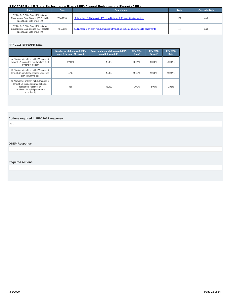<span id="page-25-0"></span>

| <b>Source</b>                                                                                            | <b>Date</b> | <b>Description</b>                                                                  | <b>Data</b> | <b>Overwrite Data</b> |
|----------------------------------------------------------------------------------------------------------|-------------|-------------------------------------------------------------------------------------|-------------|-----------------------|
| SY 2015-16 Child Count/Educational<br>Environment Data Groups (EDFacts file<br>spec C002; Data group 74) | 7/14/2016   | c2. Number of children with IEPs aged 6 through 21 in residential facilities        | 101         | nuli                  |
| SY 2015-16 Child Count/Educational<br>Environment Data Groups (EDFacts file<br>spec C002; Data group 74) | 7/14/2016   | c3. Number of children with IEPs aged 6 through 21 in homebound/hospital placements | 74          | nuli                  |

# **FFY 2015 SPP/APR Data**

|                                                                                                                                                                                                                   | Number of children with IEPs<br>aged 6 through 21 served | Total number of children with IEPs<br>aged 6 through 21 | <b>FFY 2014</b><br>Data* | <b>FFY 2015</b><br>Target* | <b>FFY 2015</b><br><b>Data</b> |
|-------------------------------------------------------------------------------------------------------------------------------------------------------------------------------------------------------------------|----------------------------------------------------------|---------------------------------------------------------|--------------------------|----------------------------|--------------------------------|
| A. Number of children with IEPs aged 6<br>through 21 inside the regular class 80%<br>or more of the day                                                                                                           | 22,620                                                   | 45.422                                                  | 50.61%                   | 50.00%                     | 49.80%                         |
| B. Number of children with IEPs aged 6<br>through 21 inside the regular class less<br>than 40% of the day                                                                                                         | 8.718                                                    | 45.422                                                  | 19.64%                   | 19.00%                     | 19.19%                         |
| C. Number of children with IEPs aged 6<br>through 21 inside separate schools,<br>residential facilities, or<br>homebound/hospital placements<br>$\begin{bmatrix} \text{C1} + \text{C2} + \text{C3} \end{bmatrix}$ | 416                                                      | 45.422                                                  | 0.91%                    | 1.90%                      | 0.92%                          |

# **Actions required in FFY 2014 response**

none

# **OSEP Response**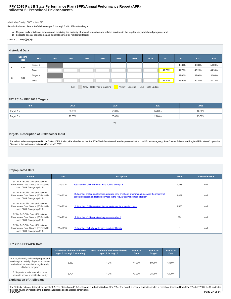# **Indicator 6: Preschool Environments FFY 2015 Part B State Performance Plan (SPP)/Annual Performance Report (APR)**

## Monitoring Priority: FAPE in the LRE

**Results indicator: Percent of children aged 3 through 5 with IEPs attending a:**

- A. Regular early childhood program and receiving the majority of special education and related services in the regular early childhood program; and<br>B. Separate special education class, separate school or residential facil
- 

**(20 U.S.C. 1416(a)(3)(A))**

# **Historical Data**

|   | <b>Baseline</b><br>Year                                                          | FFY           | 2004 | 2005 | 2006 | 2007 | 2008 | 2009 | 2010 | 2011   | 2012   | 2013   | 2014   |
|---|----------------------------------------------------------------------------------|---------------|------|------|------|------|------|------|------|--------|--------|--------|--------|
|   | 2011                                                                             | Target $\geq$ |      |      |      |      |      |      |      |        | 48.80% | 48.80% | 50.00% |
| A |                                                                                  | Data          |      |      |      |      |      |      |      | 47.70% | 44.70% | 43.20% | 44.90% |
| в |                                                                                  | Target $\leq$ |      |      |      |      |      |      |      |        | 32.00% | 32.00% | 30.00% |
|   | 2011                                                                             | Data          |      |      |      |      |      |      |      | 33.50% | 36.90% | 40.30% | 41.73% |
|   | Gray - Data Prior to Baseline<br>Key:<br>Yellow - Baseline<br>Blue - Data Update |               |      |      |      |      |      |      |      |        |        |        |        |

# **FFY 2015 - FFY 2018 Targets**

| <b>FFY</b>      | 2015   | 2016   | 2017   | 2018   |  |  |  |  |
|-----------------|--------|--------|--------|--------|--|--|--|--|
| Target $A \geq$ | 50.00% | 52.00% | 55.00% | 60.00% |  |  |  |  |
| Target $B \leq$ | 28.00% | 26.00% | 25.00% | 25.00% |  |  |  |  |
| Key.            |        |        |        |        |  |  |  |  |

# **Targets: Description of Stakeholder Input**

The indicator data were presented to the State's IDEA Advisory Panel on December 8-9, 2016.The information will also be presented to the Local Education Agency, State Charter Schools and Regional Education Cooperative Directors at the statewide meeting on February 2, 2017.

# **Prepopulated Data**

| <b>Source</b>                                                                                             | <b>Date</b> | <b>Description</b>                                                                                                                                                                | <b>Data</b> | <b>Overwrite Data</b> |
|-----------------------------------------------------------------------------------------------------------|-------------|-----------------------------------------------------------------------------------------------------------------------------------------------------------------------------------|-------------|-----------------------|
| SY 2015-16 Child Count/Educational<br>Environment Data Groups (EDFacts file<br>spec C089; Data group 613) | 7/14/2016   | Total number of children with IEPs aged 3 through 5                                                                                                                               | 4.245       | null                  |
| SY 2015-16 Child Count/Educational<br>Environment Data Groups (EDFacts file<br>spec C089; Data group 613) | 7/14/2016   | a1. Number of children attending a regular early childhood program and receiving the majority of<br>special education and related services in the regular early childhood program | 1.862       | null                  |
| SY 2015-16 Child Count/Educational<br>Environment Data Groups (EDFacts file<br>spec C089; Data group 613) | 7/14/2016   | b1. Number of children attending separate special education class                                                                                                                 | 1.500       | null                  |
| SY 2015-16 Child Count/Educational<br>Environment Data Groups (EDFacts file<br>spec C089; Data group 613) | 7/14/2016   | b2. Number of children attending separate school                                                                                                                                  | 294         | null                  |
| SY 2015-16 Child Count/Educational<br>Environment Data Groups (EDFacts file<br>spec C089; Data group 613) | 7/14/2016   | b3. Number of children attending residential facility                                                                                                                             | n           | null                  |

# **FFY 2015 SPP/APR Data**

|                                                                                                                                                           | Number of children with IEPs<br>aged 3 through 5 attending | Total number of children with IEPs<br>aged 3 through 5 | <b>FFY 2014</b><br>Data* | <b>FFY 2015</b><br>Target* | <b>FFY 2015</b><br>Data |
|-----------------------------------------------------------------------------------------------------------------------------------------------------------|------------------------------------------------------------|--------------------------------------------------------|--------------------------|----------------------------|-------------------------|
| A. A regular early childhood program and<br>receiving the majority of special education<br>and related services in the regular early<br>childhood program | .862                                                       | 4.245                                                  | 44.90%                   | 50.00%                     | 43.86%                  |
| B. Separate special education class,<br>separate school or residential facility                                                                           | 1.794                                                      | 4.245                                                  | 41.73%                   | 28.00%                     | 42.26%                  |

# **Explanation of A Slippage**

The State did not meet its target for Indicator 6 A. The State showed 1.04% slippage in Indicator 6 A from FFY 2014. The overall number of students enrolled in preschool decreased from FFY 2014 to FFY 2015 (-40 students) therefore having an impact on the indicator calculations due to a lesser denominator.<br>3/3/2020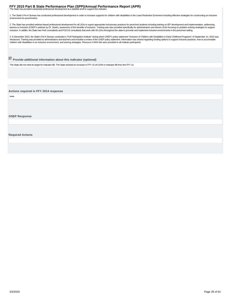# <span id="page-27-0"></span>**FFY 2015 Part B State Performance Plan (SPP)/Annual Performance Report (APR)**<br>The State has provided substantial professional development at a statwide level to support this indicator:

1. The State's Pre-K Bureau has conducted professional development in order to increase supports for children with disabilities in the Least Restrictive Envirment including effective strategies for constructing an inclusive environment for preschoolers.

2. The State has provided webinar-based professional development for all LEAs to suport appropriate inclusionary practices for preschool students including training on IEP development and implementation, addressing barriers to inclusion (OSEP's webinar by Dr. Strain), awareness of the benefits of inclusion. Training was also provided specifically for administrators and eleven LEAs focusing on problem-solving strategies to support<br>inc

3. In December 2015, the State's Pre-K Bureau conducted a "Full Participation Institute" during which OSEP's policy statement "Inclusion of Children with Disabilities in Early Childhood Programs" of September 14, 2015 was introduced. Training was provided to administrators and teachers and included a review of the OSEP policy statement. Information was shared regarding funding options to support inclusive practices, how to accomodate children with disabilities in an inclusive environment, and tutoring strategies. Resource CARA kits were provided to all institute participants.

# **Provide additional information about this indicator (optional)**

The State did not meet its target for Indicator 6B. The State showed an increase in FFY 15 of 0.53% in indicator 6B from the FFY 14.

**Actions required in FFY 2014 response**

none

**OSEP Response**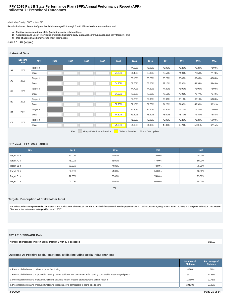# **Indicator 7: Preschool Outcomes FFY 2015 Part B State Performance Plan (SPP)/Annual Performance Report (APR)**

# Monitoring Priority: FAPE in the LRE

**Results indicator: Percent of preschool children aged 3 through 5 with IEPs who demonstrate improved:**

- 
- A. Positive social-emotional skills (including social relationships);<br>B. Acquisition and use of knowledge and skills (including early language/ communication and early literacy); and<br>C. Use of appropriate behaviors to me
- 

# **(20 U.S.C. 1416 (a)(3)(A))**

# **Historical Data**

|                | <b>Baseline</b><br>Year | <b>FFY</b>    | 2004 | 2005 | 2006                     | 2007 | 2008   | 2009   | 2010   | 2011   | 2012   | 2013   | 2014   |
|----------------|-------------------------|---------------|------|------|--------------------------|------|--------|--------|--------|--------|--------|--------|--------|
| A1             |                         | Target $\geq$ |      |      |                          |      |        | 74.90% | 75.00% | 75.00% | 75.20% | 75.20% | 73.00% |
|                | 2008                    | Data          |      |      |                          |      | 74.70% | 71.40% | 78.30% | 76.50% | 74.00% | 72.58% | 77.73% |
| A2             |                         | Target $\geq$ |      |      |                          |      |        | 66.10% | 66.20% | 66.20% | 66.40% | 66.40% | 45.00% |
|                | 2008                    | Data          |      |      |                          |      | 64.90% | 59.60% | 68.20% | 37.10% | 58.30% | 44.34% | 54.43% |
|                | <b>B1</b><br>2008       | Target $\geq$ |      |      |                          |      |        | 74.70% | 74.80% | 74.80% | 75.00% | 75.00% | 73.00% |
|                |                         | Data          |      |      |                          |      | 74.60% | 73.00% | 75.60% | 77.50% | 76.00% | 72.77% | 76.49% |
| <b>B2</b>      |                         | Target $\geq$ |      |      |                          |      |        | 62.80% | 62.90% | 62.90% | 63.10% | 63.10% | 50.00% |
|                | 2008                    | Data          |      |      |                          |      | 62.70% | 62.10% | 61.70% | 34.20% | 54.00% | 49.30% | 50.31% |
| C <sub>1</sub> |                         | Target $\geq$ |      |      |                          |      |        | 74.40% | 74.50% | 74.50% | 74.70% | 74.70% | 72.00% |
|                | 2008                    | Data          |      |      |                          |      | 74.30% | 73.40% | 76.30% | 76.60% | 75.70% | 71.30% | 76.85% |
| C <sub>2</sub> | 2008                    | Target $\geq$ |      |      |                          |      |        | 71.90% | 72.00% | 72.00% | 72.20% | 72.20% | 60.00% |
|                |                         | Data          |      |      |                          |      | 71.70% | 71.00% | 71.90% | 46.00% | 65.20% | 58.01% | 62.15% |
|                |                         |               |      |      | $\overline{\phantom{0}}$ |      |        |        |        |        |        |        |        |

Key: Gray – Data Prior to Baseline Yellow – Baseline Blue – Data Update

# **FFY 2015 - FFY 2018 Targets**

| <b>FFY</b>       | 2015   | 2016   | 2017   | 2018   |
|------------------|--------|--------|--------|--------|
| Target $A1 \geq$ | 73.00% | 74.00% | 74.00% | 75.00% |
| Target $A2 \geq$ | 45.00% | 46.00% | 47.00% | 50.00% |
| Target B1 $\geq$ | 73.00% | 74.00% | 74.00% | 75.00% |
| Target $B2 \geq$ | 52.00% | 54.00% | 56.00% | 58.00% |
| Target C1 $\geq$ | 72.00% | 73.00% | 74.00% | 75.00% |
| Target $C2 \geq$ | 62.00% | 64.00% | 66.00% | 68.00% |

Key:

# **Targets: Description of Stakeholder Input**

The indicator data were presented to the State's IDEA Advisory Panel on December 8-9, 2016.The information will also be presented to the Local Education Agency, State Charter Schools and Regional Education Cooperative<br>Dire

## **FFY 2015 SPP/APR Data**

| Number of preschool children aged 3 through 5 with IEPs assessed | 3716.00 |
|------------------------------------------------------------------|---------|
|                                                                  |         |

# **Outcome A: Positive social-emotional skills (including social relationships)**

|                                                                                                                               | Number of<br><b>Children</b> | Percentage of<br><b>Children</b> |
|-------------------------------------------------------------------------------------------------------------------------------|------------------------------|----------------------------------|
| a. Preschool children who did not improve functioning                                                                         | 40.00                        | 1.10%                            |
| b. Preschool children who improved functioning but not sufficient to move nearer to functioning comparable to same-aged peers | 551.00                       | 14.83%                           |
| c. Preschool children who improved functioning to a level nearer to same-aged peers but did not reach it                      | 1106.00                      | 29.76%                           |
| d. Preschool children who improved functioning to reach a level comparable to same-aged peers                                 | 1040.00                      | 27.99%                           |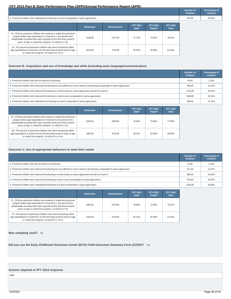|                                                                                                                                                                                                                                                                      |                  |                    |                          |                            |                                | <b>Number of</b><br><b>Children</b> | Percentage of<br><b>Children</b> |
|----------------------------------------------------------------------------------------------------------------------------------------------------------------------------------------------------------------------------------------------------------------------|------------------|--------------------|--------------------------|----------------------------|--------------------------------|-------------------------------------|----------------------------------|
| e. Preschool children who maintained functioning at a level comparable to same-aged peers                                                                                                                                                                            |                  |                    |                          |                            |                                | 979.00                              | 26.35%                           |
|                                                                                                                                                                                                                                                                      | <b>Numerator</b> | <b>Denominator</b> | <b>FFY 2014</b><br>Data* | <b>FFY 2015</b><br>Target* | <b>FFY 2015</b><br><b>Data</b> |                                     |                                  |
| A1. Of those preschool children who entered or exited the preschool<br>program below age expectations in Outcome A, the percent who<br>substantially increased their rate of growth by the time they turned 6<br>years of age or exited the program. (c+d)/(a+b+c+d) | 2146.00          | 2737.00            | 77.73%                   | 73.00%                     | 78.41%                         |                                     |                                  |
| A2. The percent of preschool children who were functioning within<br>age expectations in Outcome A by the time they turned 6 years of age<br>or exited the program. (d+e)/(a+b+c+d+e)                                                                                | 2019.00          | 3716.00            | 54.43%                   | 45.00%                     | 54.33%                         |                                     |                                  |

# **Outcome B: Acquisition and use of knowledge and skills (including early language/communication)**

|                                                                                                                               | Number of<br><b>Children</b> | Percentage of<br><b>Children</b> |
|-------------------------------------------------------------------------------------------------------------------------------|------------------------------|----------------------------------|
| a. Preschool children who did not improve functioning                                                                         | 49.00                        | 1.32%                            |
| b. Preschool children who improved functioning but not sufficient to move nearer to functioning comparable to same-aged peers | 600.00                       | 16.15%                           |
| c. Preschool children who improved functioning to a level nearer to same-aged peers but did not reach it                      | 1213.00                      | 32.64%                           |
| d. Preschool children who improved functioning to reach a level comparable to same-aged peers                                 | 1046.00                      | 28.15%                           |
| e. Preschool children who maintained functioning at a level comparable to same-aged peers                                     | 808.00                       | 21.74%                           |

|                                                                                                                                                                                                                                                                      | <b>Numerator</b> | <b>Denominator</b> | <b>FFY 2014</b><br>Data* | <b>FFY 2015</b><br>Target* | <b>FFY 2015</b><br>Data |
|----------------------------------------------------------------------------------------------------------------------------------------------------------------------------------------------------------------------------------------------------------------------|------------------|--------------------|--------------------------|----------------------------|-------------------------|
| B1. Of those preschool children who entered or exited the preschool<br>program below age expectations in Outcome B, the percent who<br>substantially increased their rate of growth by the time they turned 6<br>years of age or exited the program. (c+d)/(a+b+c+d) | 2259.00          | 2908.00            | 76.49%                   | 73.00%                     | 77.68%                  |
| B2. The percent of preschool children who were functioning within<br>age expectations in Outcome B by the time they turned 6 years of age<br>or exited the program. (d+e)/(a+b+c+d+e)                                                                                | 1854.00          | 3716.00            | 50.31%                   | 52.00%                     | 49.89%                  |

# **Outcome C: Use of appropriate behaviors to meet their needs**

|                                                                                                                               | <b>Number of</b><br><b>Children</b> | Percentage of<br><b>Children</b> |
|-------------------------------------------------------------------------------------------------------------------------------|-------------------------------------|----------------------------------|
| a. Preschool children who did not improve functioning                                                                         | 43.00                               | 1.16%                            |
| b. Preschool children who improved functioning but not sufficient to move nearer to functioning comparable to same-aged peers | 471.00                              | 12.67%                           |
| c. Preschool children who improved functioning to a level nearer to same-aged peers but did not reach it                      | 886.00                              | 23.84%                           |
| d. Preschool children who improved functioning to reach a level comparable to same-aged peers                                 | 976.00                              | 26.26%                           |
| e. Preschool children who maintained functioning at a level comparable to same-aged peers                                     | 1340.00                             | 36.06%                           |

|                                                                                                                                                                                                                                                                      | <b>Numerator</b> | <b>Denominator</b> | <b>FFY 2014</b><br>Data* | <b>FFY 2015</b><br>Target* | <b>FFY 2015</b><br>Data |
|----------------------------------------------------------------------------------------------------------------------------------------------------------------------------------------------------------------------------------------------------------------------|------------------|--------------------|--------------------------|----------------------------|-------------------------|
| C1. Of those preschool children who entered or exited the preschool<br>program below age expectations in Outcome C, the percent who<br>substantially increased their rate of growth by the time they turned 6<br>years of age or exited the program. (c+d)/(a+b+c+d) | 1862.00          | 2376.00            | 76.85%                   | 72,00%                     | 78.37%                  |
| C2. The percent of preschool children who were functioning within<br>age expectations in Outcome C by the time they turned 6 years of age<br>or exited the program. (d+e)/(a+b+c+d+e)                                                                                | 2316.00          | 3716.00            | 62.15%                   | 62.00%                     | 62.33%                  |

# **Was sampling used?** No

**Did you use the Early Childhood Outcomes Center (ECO) Child Outcomes Summary Form (COSF)?** Yes

# **Actions required in FFY 2014 response**

none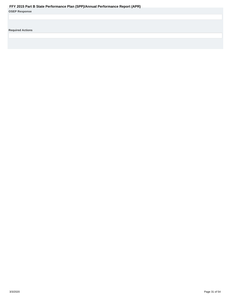<span id="page-30-0"></span>

| <b>OSEP Response</b> |  |  |  |
|----------------------|--|--|--|
|----------------------|--|--|--|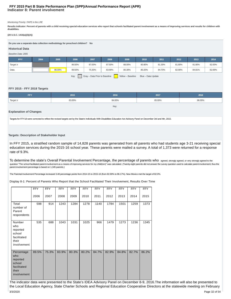# **Indicator 8: Parent involvement FFY 2015 Part B State Performance Plan (SPP)/Annual Performance Report (APR)**

#### Monitoring Priority: FAPE in the LRE

Results indicator: Percent of parents with a child receiving special education services who report that schools facilitated parent involvement as a means of improving services and results for children with **disabilities.**

# **(20 U.S.C. 1416(a)(3)(A))**

**Do you use a separate data collection methodology for preschool children? No**

# **Historical Data**

# Baseline Data: 2005 **FFY 2004 2005 2006 2007 2008 2009 2010 2011 2012 2013 2014** Target ≥ 86.50% 87.00% 87.50% 88.00% 80.80% 81.30% 81.80% 81.80% 82.00% Data 86.00% 89.50% 75.30% 83.90% 80.30% 80.20% 84.70% 82.90% 84.81% 82.69%

Key: Gray – Data Prior to Baseline | Yellow – Baseline Blue – Data Update

# **FFY 2015 - FFY 2018 Targets**

| <b>FFY</b>    | 2015   | 2016   | 2017   | 2018   |
|---------------|--------|--------|--------|--------|
| Target $\geq$ | 83.00% | 84.00% | 85.00% | 86.00% |
|               |        | Key:   |        |        |

# **Explanation of Changes**

Targets for FFY18 were corrected to reflect the revised targets set by the State's Individuals With Disabilities Education Act Advisory Panel on December 3rd and 4th, 2015.

# **Targets: Description of Stakeholder Input**

In FFY 2015, a stratified random sample of 14,828 parents was generated from all parents who had students age 3-21 receiving special education services during the 2015-16 school year. These parents were mailed a survey. A total of 1,373 were returned for a response rate of 9.3%.

To determine the state's Overall Parental Involvement Percentage, the percentage of parents who agreed, strongly agreed, or very strongly agreed to the question "The school facilitated parent involvement as a means of improving services for my child(ren)" was calculated. (Twenty-eight parents did not answer the survey question used to calculate parent involvement; thus th parent involvement percentage is based on 1,345 parents.)

The Parental Involvement Percentage increased 3.48 percentage points from 2014-15 to 2015-16 (from 82.69% to 86.17%). New Mexico met the target of 82.0%.

Display 8-1: Percent of Parents Who Report that the School Facilitated Their Involvement, Results Over Time

|                                                                                | <b>FFY</b> | <b>FFY</b> | <b>FFY</b> | <b>FFY</b> | <b>FFY</b> | <b>FFY</b> | <b>FFY</b> | <b>FFY</b> | <b>FFY</b> | <b>FFY</b> |
|--------------------------------------------------------------------------------|------------|------------|------------|------------|------------|------------|------------|------------|------------|------------|
|                                                                                | 2006       | 2007       | 2008       | 2009       | 2010       | 2011       | 2012       | 2013       | 2014       | 2015       |
| Total<br>number of<br>Parent<br>respondents                                    | 598        | 914        | 1243       | 1284       | 1278       | 1140       | 1784       | 1501       | 1259       | 1373       |
| Number<br>who<br>reported<br>school<br>facilitated<br>their<br>involvement     | 535        | 688        | 1043       | 1031       | 1025       | 966        | 1479       | 1273       | 1236       | 1345       |
| Percentage<br>who<br>reported<br>school<br>facilitated<br>their<br>involvement | 89.5%      | 75.3%      | 83.9%      | 80.3%      | 80.2%      | 84.7%      | 82.9%      | 84.8%      | 82.7%      | 86.2%      |

The indicator data were presented to the State's IDEA Advisory Panel on December 8-9, 2016.The information will also be presented to the Local Education Agency, State Charter Schools and Regional Education Cooperative Directors at the statewide meeting on February 3/3/2020 Page 32 of 54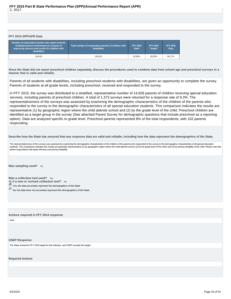# <span id="page-32-0"></span>**FFY 2015 SPP/APR Data**

| Number of respondent parents who report schools<br>facilitated parent involvement as a means of<br>improving services and results for children with<br><b>disabilities</b> | Total number of respondent parents of children with<br>disabilities | <b>FFY 2014</b><br>Data* | <b>FFY 2015</b><br>Target* | <b>FFY 2015</b><br><b>Data</b> |
|----------------------------------------------------------------------------------------------------------------------------------------------------------------------------|---------------------------------------------------------------------|--------------------------|----------------------------|--------------------------------|
| 1159.00                                                                                                                                                                    | 1345.00                                                             | 82.69%                   | 83.00%                     | 86.17%                         |

**Since the State did not report preschool children separately, discuss the procedures used to combine data from school age and preschool surveys in a manner that is valid and reliable.**

Parents of all students with disabilities, including preschool students with disabilities, are given an opportunity to complete the survey. Parents of students at all grade levels, including preschool, received and responded to the survey.

In FFY 2015, the survey was distributed to a stratified, representative number of 14,828 parents of children receiving special education services, including parents of preschool children. A total of 1,373 surveys were returned for a response rate of 9.3%. The representativeness of the surveys was assessed by examining the demographic characteristics of the children of the parents who responded to the survey to the demographic characteristics of all special education students. This comparison indicates the results are representative (1) by geographic region where the child attends school and (2) by the grade level of the child. Preschool children are identified as a target group in the survey (See attached Parent Survey for demographic questions that include preschool as a reporting option). Data are analyzed specific to grade level. Preschool parents represented 8% of the total respondents, with 102 parents responding.

**Describe how the State has ensured that any response data are valid and reliable, including how the data represent the demographics of the State.**

The representativeness of the surveys was assessed by examining the demographic characteristics of the children of the parents who responded to the survey to the demographic characteristics of all special education students. This comparison indicates the results are generally representative (1) by geographic region where the child attends school; (2) by the grade level of the child, and (3) by primary disability of the child. Please parent respondents self-report ethnicity and primary disability.

**Was sampling used?** No

Was a collection tool used? Yes **Is it a new or revised collection tool?** No

**Yes, the data accurately represent the demographics of the State**

**No, the data does not accurately represent the demographics of the State** 

**Actions required in FFY 2014 response**

none

#### **OSEP Response**

The State revised its FFY 2018 target for this indicator, and OSEP accepts this target.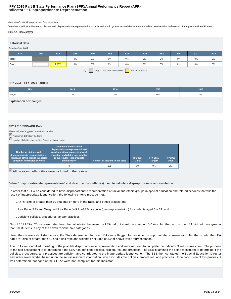# **Indicator 9: Disproportionate Representation FFY 2015 Part B State Performance Plan (SPP)/Annual Performance Report (APR)**

Monitoring Priority: Disproportionate Representation

**Compliance indicator: Percent of districts with disproportionate representation of racial and ethnic groups in special education and related services that is the result of inappropriate identification.**

# **(20 U.S.C. 1416(a)(3)(C))**

| <b>Historical Data</b><br>Baseline Data: 2005 |                                                            |       |       |       |       |       |       |       |      |       |       |
|-----------------------------------------------|------------------------------------------------------------|-------|-------|-------|-------|-------|-------|-------|------|-------|-------|
| <b>FFY</b>                                    | 2004                                                       | 2005  | 2006  | 2007  | 2008  | 2009  | 2010  | 2011  | 2012 | 2013  | 2014  |
| Target                                        |                                                            |       | $0\%$ | $0\%$ | $0\%$ | 0%    | $0\%$ | $0\%$ | 0%   | $0\%$ | $0\%$ |
| Data                                          |                                                            | 7.90% | $0\%$ | $0\%$ | $0\%$ | $0\%$ | $0\%$ | $0\%$ | 0%   | $0\%$ | $0\%$ |
|                                               | Gray - Data Prior to Baseline<br>Yellow - Baseline<br>Key: |       |       |       |       |       |       |       |      |       |       |

# **FFY 2015 - FFY 2018 Targets**

| EEY<br>. . | 2015 | 2016 | 2017 | 2018 |
|------------|------|------|------|------|
| Target     | 0%   | 0%   | 0%   | 0%   |
|            |      |      |      |      |

## **Explanation of Changes**

# **FFY 2015 SPP/APR Data**

Please indicate the type of denominator provided

Number of districts in the State

Number of districts that met the State's minimum n-size

| Number of districts with<br>disproportionate representation of<br>racial and ethnic groups in special<br>education and related services | <b>Number of districts with</b><br>disproportionate representation of<br>racial and ethnic groups in special<br>education and related services that<br>is the result of inappropriate<br>identification | Number of districts in the State | <b>FFY 2014</b><br>Data* | <b>FFY 2015</b><br>Target* | <b>FFY 2015</b><br>Data |
|-----------------------------------------------------------------------------------------------------------------------------------------|---------------------------------------------------------------------------------------------------------------------------------------------------------------------------------------------------------|----------------------------------|--------------------------|----------------------------|-------------------------|
|                                                                                                                                         |                                                                                                                                                                                                         | 151                              | $0\%$                    | 0%                         | 0%                      |

**All races and ethnicities were included in the review**

**Define "disproportionate representation" and describe the method(s) used to calculate disproportionate representation**

In order that a LEA be considered to have disproportionate representation of racial and ethnic groups in special education and related services that was the result of inappropriate identification, the following criteria must be met:

. An "n" size of greater than 10 students or more in the racial and ethnic groups; and

- . Risk Ratio (RR) and Weighted Risk Ratio (WRR) of 3.0 or above (over-representation) for students aged 6 21; and
- . Deficient policies, procedures, and/or practices.

Out of 151 LEAs, 25 were excluded from the calculation because the LEA did not meet the minimum "n' size. In other words, the LEA did not have greater than 10 students in any of the seven racial/ethnic categories.

Using the criteria established above, the State determined that four LEAs were flagged for possible disproportionate representation. In other words, the LEA had a "n" size of greater than 10 and a risk ratio and weighted risk ratio of 3.0 or above (over-representation).

The LEAs were notified in writing of the possible disproportionate representation and were required to complete the Indicator 9 self- assessment. The purpose of the self-assessment is to determine if the LEA has deficient policies, procedures, and practices. The SEB examined the self-assessment to determine if the policies, procedures, and practices are deficient and contributed to the inappropriate identification. The SEB then contacted the Special Education Director and interviewed him/her based upon the self-assessment information, which includes the policies, procedures, and practices. Upon conclusion of this process, it was determined that none of the 4 LEAs were non-compliant for this Indicator.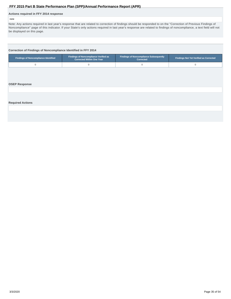# <span id="page-34-0"></span>**Actions required in FFY 2014 response**

# none

Note: Any actions required in last year's response that are related to correction of findings should be responded to on the "Correction of Previous Findings of Noncompliance" page of this indicator. If your State's only actions required in last year's response are related to findings of noncompliance, a text field will not be displayed on this page.

# **Correction of Findings of Noncompliance Identified in FFY 2014**

| <b>Findings of Noncompliance Identified</b> | Findings of Noncompliance Verified as<br><b>Corrected Within One Year</b> | <b>Findings of Noncompliance Subsequently</b><br>Corrected | <b>Findings Not Yet Verified as Corrected</b> |
|---------------------------------------------|---------------------------------------------------------------------------|------------------------------------------------------------|-----------------------------------------------|
| $\mathbf 0$                                 | $\mathbb O$                                                               | $\mathbf{0}$                                               | $\mathbf{0}$                                  |
|                                             |                                                                           |                                                            |                                               |
|                                             |                                                                           |                                                            |                                               |
| <b>OSEP Response</b>                        |                                                                           |                                                            |                                               |
|                                             |                                                                           |                                                            |                                               |
|                                             |                                                                           |                                                            |                                               |
|                                             |                                                                           |                                                            |                                               |
| <b>Required Actions</b>                     |                                                                           |                                                            |                                               |
|                                             |                                                                           |                                                            |                                               |
|                                             |                                                                           |                                                            |                                               |
|                                             |                                                                           |                                                            |                                               |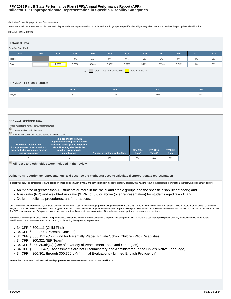# **Indicator 10: Disproportionate Representation in Specific Disability Categories FFY 2015 Part B State Performance Plan (SPP)/Annual Performance Report (APR)**

Monitoring Priority: Disproportionate Representation

**Compliance indicator: Percent of districts with disproportionate representation of racial and ethnic groups in specific disability categories that is the result of inappropriate identification.**

#### **(20 U.S.C. 1416(a)(3)(C))**

| <b>Historical Data</b> |                                                            |       |       |       |       |       |       |       |       |       |       |
|------------------------|------------------------------------------------------------|-------|-------|-------|-------|-------|-------|-------|-------|-------|-------|
| Baseline Data: 2005    |                                                            |       |       |       |       |       |       |       |       |       |       |
| <b>FFY</b>             | 2004                                                       | 2005  | 2006  | 2007  | 2008  | 2009  | 2010  | 2011  | 2012  | 2013  | 2014  |
| Target                 |                                                            |       | $0\%$ | 0%    | $0\%$ | $0\%$ | $0\%$ | $0\%$ | 0%    | 0%    | $0\%$ |
| Data                   |                                                            | 7.90% | 5.60% | 3.30% | 5.37% | 3.92% | 3.28% | 0.78% | 0.71% | $0\%$ | $0\%$ |
|                        | Gray - Data Prior to Baseline<br>Yellow - Baseline<br>Key: |       |       |       |       |       |       |       |       |       |       |

# **FFY 2014 - FFY 2018 Targets**

| FFY                 | 2015 | 2016 | 2017  | 2018 |
|---------------------|------|------|-------|------|
| <sup>1</sup> Target | 0%   | 0%   | $0\%$ | 0%   |
|                     |      |      |       |      |

# **FFY 2015 SPP/APR Data**

Please indicate the type of denominator provided

Number of districts in the State

| Number of districts that met the State's minimum n-size                                                                         |                                                                                                                                                                                          |                                  |                          |                            |                         |  |  |  |  |
|---------------------------------------------------------------------------------------------------------------------------------|------------------------------------------------------------------------------------------------------------------------------------------------------------------------------------------|----------------------------------|--------------------------|----------------------------|-------------------------|--|--|--|--|
| Number of districts with<br>disproportionate representation of<br>racial and ethnic groups in specific<br>disability categories | Number of districts with<br>disproportionate representation of<br>racial and ethnic groups in specific<br>disability categories that is the<br>result of inappropriate<br>identification | Number of districts in the State | <b>FFY 2014</b><br>Data* | <b>FFY 2015</b><br>Target* | <b>FFY 2015</b><br>Data |  |  |  |  |
|                                                                                                                                 |                                                                                                                                                                                          | 151                              | $0\%$                    | 0%                         | $0\%$                   |  |  |  |  |

**All races and ethnicities were included in the review**

**Define "disproportionate representation" and describe the method(s) used to calculate disproportionate representation**

In order that a LEA be considered to have disproportionate representation of racial and ethnic groups in a specific disability category that was the result of inappropriate identification, the following criteria must be me

- An "n" size of greater than 10 students or more in the racial and ethnic groups and the specific disability category; and
- A risk ratio (RR) and weighted risk ratio (WRR) of 3.0 or above (over representation) for students aged 6 21; and
- Deficient policies, procedures, and/or practices.

Using the criteria established above, the State identified 3 LEAs with 3 flags for possible disproportionate representation out of the 152 LEAs. In other words, the LEAs had an "n" size of greater than 10 and a risk ratio weighted risk ratio of 3.0 or above. The 3 LEAs flagged for possible occurrences of over representation and were required to complete a self-assessment. The completed self-assessment was submitted to the SEB for review. The SEB also reviewed the LEA's policies, procedures, and practices. Desk audits were completed of the self-assessments, policies, procedures, and practices.

Based upon the findings obtained through the process described above, no LEAs were found to have disproportionate representation of racial and ethnic groups in specific disability categories due to inappropriate identification. The 3 LEAs were found to be correctly implementing the regulatory requirements.

- 34 CFR § 300.111 (Child Find)
- 34 CFR § 300.300 (Parental Consent)
- 34 CFR § 300.131 (Child Find for Parentally Placed Private School Children With Disabilities)
- 34 CFR § 300.321 (IEP Team)
- 34 CFR § 300.304(b)(4) (Use of a Variety of Assessment Tools and Strategies)
- 34 CFR § 300.304(c) (Assessments are not Discriminatory and Administered in the Child's Native Language)
- 34 CFR § 300.301 through 300.306(b)(iii) (Initial Evaluations Limited English Proficiency)

None of the 3 LEAs were considered to have disproportionate representation due to inappropriate identification.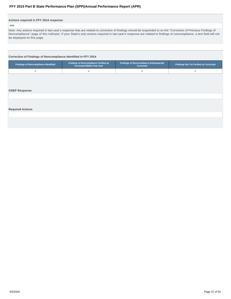# <span id="page-36-0"></span>**Actions required in FFY 2014 response**

#### none

Note: Any actions required in last year's response that are related to correction of findings should be responded to on the "Correction of Previous Findings of Noncompliance" page of this indicator. If your State's only actions required in last year's response are related to findings of noncompliance, a text field will not be displayed on this page.

# **Correction of Findings of Noncompliance Identified in FFY 2014**

| <b>Findings of Noncompliance Identified</b> | <b>Findings of Noncompliance Verified as</b><br><b>Corrected Within One Year</b> |  | <b>Findings Not Yet Verified as Corrected</b> |  |
|---------------------------------------------|----------------------------------------------------------------------------------|--|-----------------------------------------------|--|
|                                             |                                                                                  |  |                                               |  |

#### **OSEP Response**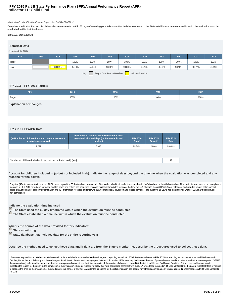# **Indicator 11: Child Find FFY 2015 Part B State Performance Plan (SPP)/Annual Performance Report (APR)**

Monitoring Priority: Effective General Supervision Part B / Child Find

**Compliance indicator: Percent of children who were evaluated within 60 days of receiving parental consent for initial evaluation or, if the State establishes a timeframe within which the evaluation must be conducted, within that timeframe.**

## **(20 U.S.C. 1416(a)(3)(B))**

## **Historical Data**

#### Baseline Data: 2005

| <b>FFY</b> | 2004 | 2005   | 2006   | 2007   | 2008   | 2009                     | 2010   | 2011   | 2012   | 2013   | 2014   |
|------------|------|--------|--------|--------|--------|--------------------------|--------|--------|--------|--------|--------|
| Target     |      |        | 100%   | 100%   | 100%   | 100%                     | 100%   | 100%   | 100%   | 100%   | 100%   |
| Data       |      | 80.00% | 37.10% | 97.10% | 98.90% | 99.30%                   | 99.20% | 98.20% | 98.10% | 98.77% | 99.34% |
|            |      |        |        |        |        | $\overline{\phantom{a}}$ |        |        |        |        |        |

Key: Gray – Data Prior to Baseline Yellow – Baseline

## **FFY 2015 - FFY 2018 Targets**

| <b>FFY</b>          | 2015 | 2016 | 2017 | 2018 |
|---------------------|------|------|------|------|
| <sup>1</sup> Target | 100% | 100% | 100% | 100% |
|                     |      |      |      |      |

**Explanation of Changes**

# **FFY 2015 SPP/APR Data**

| (a) Number of children for whom parental consent to<br>evaluate was received | (b) Number of children whose evaluations were<br>completed within 60 days (or State-established<br>timeline) | <b>FFY 2014</b><br>Data* | <b>FFY 2015</b><br>Target* | <b>FFY 2015</b><br>Data |
|------------------------------------------------------------------------------|--------------------------------------------------------------------------------------------------------------|--------------------------|----------------------------|-------------------------|
| 7.027                                                                        | 6.985                                                                                                        | 99.34%                   | 100%                       | 99.40%                  |
|                                                                              |                                                                                                              |                          |                            |                         |
| Number of children included in (a), but not included in (b) [a-b]            |                                                                                                              |                          |                            | 42                      |

**Account for children included in (a) but not included in (b). Indicate the range of days beyond the timeline when the evaluation was completed and any reasons for the delays.**

Forty-two (42) student evaluations from 15 LEAs went beyond the 60 day timeline. However, all of the students had their evaluations completed 1-142 days beyond the 60-day timeline. All of the individual cases on noncomplia identified in FFY 2015 have been corrected and the prong one criteria has been met. This was validated through the review of the forty-two (42) students' files in STARS (state database) and included review of the consent dates, evaluation dates, eligibility determination and IEP information for those students who qualified for special education and related services. Nine out of the 15 LEAs had initial findings with six LEAs having continue non-compliance.

**Indicate the evaluation timeline used**

 **The State used the 60 day timeframe within which the evaluation must be conducted.**

 **The State established a timeline within which the evaluation must be conducted.**

**What is the source of the data provided for this indicator?**

 **State monitoring**

 **State database that includes data for the entire reporting year**

**Describe the method used to collect these data, and if data are from the State's monitoring, describe the procedures used to collect these data.**

LEAs were required to submit data on initial evaluations for special education and related services, each reporting period, into STARS (state database). In FFY 2015 the reporting periods were the second Wednesdays in October, December and February and the end-of-year. In addition to the student's demographic data and information, LEAs were required to enter the date of parental consent and the date the evaluation was completed. STARS then automatically calculated the number of days between parental consent, and the initial evaluation. If the number of days was beyond 60, the individual file was "red flagged" and the LEA was required to enter a code indicating the reason for the delay in the completion of the evaluation. The only reasons for delay that were considered compliant with the IDEA were those included in 34 CFR § 300.301(d): the parent repeatedly fails or re to produce the child for the evaluation or the child enrolls in a school of another LEA after the timeframe for the initial evaluation has begun. Any other reason for a delay was considered noncompliance with 34 CFR § 300.  $(c)(1)(i)$ .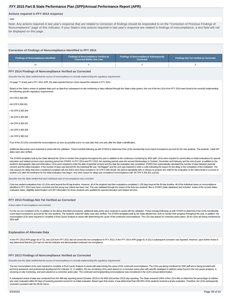#### **Actions required in FFY 2014 response**

# none

Note: Any actions required in last year's response that are related to correction of findings should be responded to on the "Correction of Previous Findings of Noncompliance" page of this indicator. If your State's only actions required in last year's response are related to findings of noncompliance, a text field will not be displayed on this page.

# **Correction of Findings of Noncompliance Identified in FFY 2014 Findings of Noncompliance Identified Findings of Noncompliance Verified as Corrected Within One Year Findings of Noncompliance Subsequently Corrected Findings Not Yet Verified as Corrected** 10 4 0 6 **FFY 2014 Findings of Noncompliance Verified as Corrected** Describe how the State verified that the source of noncompliance is correctly implementing the regulatory requirements On page 77 of last year's FFY 2014 APR, the state reported that ten LEAs missed the indicator in FFY 2014. Based on the State's review of updated data such as data from subsequent on-site monitoring or data collected through the State's data system, four out of the ten LEAs from FFY 2014 were found to be correctly implementing the following specific regulatory requirements: •34 CFR § 300.300 •34 CFR § 300.301 • 34 CFR § 300.304 • 34 CFR § 300.305 • 34 CFR § 300.307 • 34 CFR § 300.309 • 34 CFR § 300.310 Four of the 10 LEAs corrected the noncompliance as soon as possible and in no case later than one year after the State's identification.

Additional data points were reviewed to assist with the validation. These included following up with STARS to determine if the LEA's membership count report increased to account for the new students. The students' initial dates were also verified.

The STARS templates built by the State allowed the LEAs to monitor their progress throughout the year in addition to the continuous monitoring by SEB staff. LEAs were required to submit data on initial evaluations for spec education and related services each reporting period into STARS. In FFY 2014 and FFY 2015, the reporting periods were the second Wednesdays in October, December and February and the end-of-year. In addition to the student's demographic data and information, LEAs were required to enter the date of parental consent and the date the evaluation was completed. STARS then automatically calculated the number of days between parental consent and the initial evaluation. If the number of days was beyond 60, the individual file was "red flagged" and the LEA was required to enter a code indicating the reason for the delay in the completion of the evaluatio only reasons for delay that were considered compliant with the IDEA were those included in 34 CFR § 300.301(d): the parent repeatedly fails or refuses to produce the child for the evaluation or the child enrolls in a schoo another LEA after the timeframe for the initial evaluation has begun. Any other reason for delay was considered noncompliance with 34 CFR § 300.301 (c)(1)(i).

Describe how the State verified that each individual case of noncompliance was corrected

Forty-two student evaluations from 10 LEAs went beyond the 60 day timeline. However, all of the students had their evaluations completed 1-138 days beyond the 60-day timeline. All of the individual cases on noncompliance identified in FFY 2014 have been corrected and the prong one criteria has been met. This was validated through the review of the forty-two students' files in STARS (state database) and included review of the consent dates, evaluation dates, eligibility determination and IEP information for those students who qualified for special education and related services.

#### **FFY 2014 Findings Not Yet Verified as Corrected**

Actions taken if noncompliance not corrected

For the six non-compliant LEAs, in addition to the above described procedures, additional data points were reviewed to assist with the validation. These included following up with STARS to determine if the LEA's membership count report increased to account for the new students. The students' initial IEP dates were also verified. The STARS templates built by the State allowed the LEAs to monitor their progress throughout the year. In addition noncompliant LEAs were required to complete a Root Cause Analysis to assist with determining the cause of the continued noncompliance. The LEA was placed on corrective action plans. All six LEAs are being monitored by SEB staff.

#### **Explanation of Alternate Data**

In the FFY 2013 APR (page 50 of 72), one LEA from FFY 2012 did not correct the non-compliance in FFY 2013. In the FFY 2014 APR (page 81 of 111) a subsequent correction was reported. However, upon further review it was determined that the LEA had not met the Indicator and demonstrated continued non-compliance.

#### **FFY 2013 Findings of Noncompliance Verified as Corrected**

Describe how the State verified that the source of noncompliance is correctly implementing the regulatory requirements

The two noncompliant LEAs were required to complete a Root Cause Analysis to assist with determining the cause of the continued noncompliance. The LEAs are being monitored by SEB staff and is being provided with technical assistance and professional development for Indicator 11. In addition, the two remaining LEAs were placed on a corrective action plan with specific strategies to address areas found in the root cause analyses, is receiving on-site monitoring, and were placed on a corrective action plan. The continued and longstanding noncompliance was considered in the LEA's annual determination.

A subsequent review of data was conducted from the 40th day reporting period (October 2015) to the 80th (December 2015) day reporting. The State reviewed 100% of the LEA's files to determine the percentage of children who were evaluated within 60 days of receiving parental consent for an initial evaluation. Based upon that review, it was determined that 100.00% of the students received a timely evaluation. Therefore, the LEAs subsequent corrected consistent with the 09-02 memo.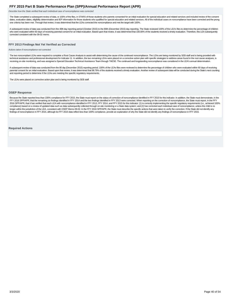<span id="page-39-0"></span>Describe how the State verified that each individual case of noncompliance was corrected

The State completed a subsequent review of data, or 100% of the files, in STARS of those students who parents consented for an initial evaluation for special education and related services and included review of the consen dates, evaluation dates, eligibility determination and IEP information for those students who qualified for special education and related services. All of the individual cases on noncompliance have been corrected and the p one criteria has been met. Through that review, it was determined that the LEAs corrected the noncompliance and met the target with 100%.

A subsequent review of data was conducted from the 40th day reporting period (October 2015) to the 80th (December 2015) day reporting. The State reviewed 100% of the LEA's files to determine the percentage of children who were evaluated within 60 days of receiving parental consent for an initial evaluation. Based upon that review, it was determined that 100.00% of the students received a timely evaluation. Therefore, this LEA subsequent corrected consistent with the 09-02 memo.

#### **FFY 2013 Findings Not Yet Verified as Corrected**

Actions taken if noncompliance not corrected

The two noncompliant LEAs were required to complete a Root Cause Analysis to assist with determining the cause of the continued noncompliance. The LEAs are being monitored by SEB staff and is being provided with technical assistance and professional development for Indicator 11. In addition, the two remaining LEAs were placed on a corrective action plan with specific strategies to address areas found in the root cause analyses, is receiving on-site monitoring, and was assigned a Special Education Technical Assistance Team through TAESE. The continued and longstanding noncompliance was considered in the LEA's annual determination.

A subsequent review of data was conducted from the 80 day (December 2015) reporting period. 100% of the LEAs files were reviewed to determine the percentage of children who were evaluated within 60 days of receiving parental consent for an initial evaluation. Based upon that review, it was determined that 98.79% of the students received a timely evaluation. Another review of subsequent data will be conducted during the State's next co and reporting period to determine if the LEAs are meeting the specific regulatory requirements.

The LEAs were placed on corrective action plan and is being monitored by SEB staff.

#### **OSEP Response**

Because the State reported less than 100% compliance for FFY 2015, the State must report on the status of correction of noncompliance identified in FFY 2015 for this indicator. In addition, the State must demonstrate, in t FFY 2016 SPP/APR, that the remaining six findings identified in FFY 2014 and the two findings identified in FFY 2013 were corrected. When reporting on the correction of noncompliance, the State must report, in the FFY 2016 SPP/APR, that it has verified that each LEA with noncompliance identified in FFY 2013, FFY 2014, and FFY 2015 for this indicator: (1) is correctly implementing the specific regulatory requirements (i.e., achieved 100% compliance) based on a review of updated data such as data subsequently collected through on-site monitoring or a State data system; and (2) has corrected each individual case of noncompliance, unless the child is no longer within the jurisdiction of the LEA, consistent with OSEP Memo 09-02. In the FFY 2016 SPP/APR, the State must describe the specific actions that were taken to verify the correction. If the State did not identify any findings of noncompliance in FFY 2015, although its FFY 2015 data reflect less than 100% compliance, provide an explanation of why the State did not identify any findings of noncompliance in FFY 2015.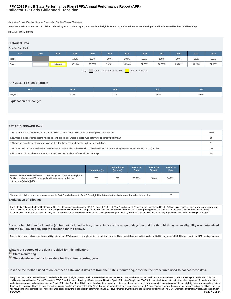# **Indicator 12: Early Childhood Transition FFY 2015 Part B State Performance Plan (SPP)/Annual Performance Report (APR)**

Monitoring Priority: Effective General Supervision Part B / Effective Transition

**Compliance indicator: Percent of children referred by Part C prior to age 3, who are found eligible for Part B, and who have an IEP developed and implemented by their third birthdays.**

#### **(20 U.S.C. 1416(a)(3)(B))**

| <b>Historical Data</b> |                                                            |        |        |        |        |        |        |        |        |        |        |
|------------------------|------------------------------------------------------------|--------|--------|--------|--------|--------|--------|--------|--------|--------|--------|
| Baseline Data: 2005    |                                                            |        |        |        |        |        |        |        |        |        |        |
| <b>FFY</b>             | 2004                                                       | 2005   | 2006   | 2007   | 2008   | 2009   | 2010   | 2011   | 2012   | 2013   | 2014   |
| Target                 |                                                            |        | 100%   | 100%   | 100%   | 100%   | 100%   | 100%   | 100%   | 100%   | 100%   |
| Data                   |                                                            | 94.40% | 97.20% | 95.20% | 99.10% | 99.30% | 97.70% | 98.50% | 83.20% | 94.29% | 97.90% |
|                        | Gray - Data Prior to Baseline<br>Key:<br>Yellow - Baseline |        |        |        |        |        |        |        |        |        |        |

# **FFY 2015 - FFY 2018 Targets**

| FFY    | 2015 | 2016 | 2017 | 2018 |
|--------|------|------|------|------|
| Target | 100% | 100% | 100% | 100% |
|        |      |      |      |      |

# **Explanation of Changes**

# **FFY 2015 SPP/APR Data**

| a. Number of children who have been served in Part C and referred to Part B for Part B eligibility determination.                                             |    |  |  |  |
|---------------------------------------------------------------------------------------------------------------------------------------------------------------|----|--|--|--|
| b. Number of those referred determined to be NOT eligible and whose eligibility was determined prior to third birthday.                                       | 55 |  |  |  |
| c. Number of those found eligible who have an IEP developed and implemented by their third birthdays.                                                         |    |  |  |  |
| d. Number for whom parent refusals to provide consent caused delays in evaluation or initial services or to whom exceptions under 34 CFR §300.301(d) applied. |    |  |  |  |
| e. Number of children who were referred to Part C less than 90 days before their third birthdays.                                                             |    |  |  |  |

|                                                                                                                                                                                          | Numerator (c) | <b>Denominator</b><br>$(a-b-d-e)$ | <b>FFY 2014</b><br>Data* | <b>FFY 2015</b><br>Target* | <b>FFY 2015</b><br><b>Data</b> |
|------------------------------------------------------------------------------------------------------------------------------------------------------------------------------------------|---------------|-----------------------------------|--------------------------|----------------------------|--------------------------------|
| Percent of children referred by Part C prior to age 3 who are found eligible for<br>Part B, and who have an IEP developed and implemented by their third<br>birthdays. [c/(a-b-d-e)]x100 | 770           | 796                               | 97.90%                   | 100%                       | 96.73%                         |
|                                                                                                                                                                                          |               |                                   |                          |                            |                                |

**Number of children who have been served in Part C and referred to Part B for eligibility determination that are not included in b, c, d, e** 26 **Explanation of Slippage**

The State did not meet the target for Indicator 12. The State experienced slippage of 1.17% from FFY 14 to FFY 15. A total of six LEAs missed the indicator and four LEAS had initial findings. This showed improvement from FFY 14 (9 initial findings). One LEA (initial finding) implemented procedural changes at the district level that resulted in a breakdown in the reporting process to the State. Although the State requested supporting documentation, the State was unable to verify that 18 students had eligibility determined, an IEP developed and implemented by their third birthday. This has negatively impacted this indicator, resulting in slippage.

**Account for children included in (a), but not included in b, c, d, or e. Indicate the range of days beyond the third birthday when eligibility was determined and the IEP developed, and the reasons for the delays.**

Twenty-six students did not have their eligibility determined, IEP developed and implemented by their third birthday. The range of days beyond the students' third birthday were 1-235. This was due to the LEA missing timeli

**What is the source of the data provided for this indicator?**

 **State monitoring**

 **State database that includes data for the entire reporting year**

**Describe the method used to collect these data, and if data are from the State's monitoring, describe the procedures used to collect these data.**

Every preschool student served in Part C and referred for Part B eligibility determinations were submitted into the STARS data warehouse by LEA. Each LEA is monitored on this indicator every year. Students who did not qualify were entered into the Student Template of STARS, and students who did qualify were entered into the Special Education Template of STARS. As part of additional data validation, other important information about the students were required to be entered into the Special Education Template. This included the date of the transition conference, date of parental consent, evaluation completion date, date of eligibility determination and the the initial IEP. Indicator 11 and 12 were correlated to determine the accuracy of the data. All fields must be completed. If data were missing, the LEA was required to correct the data within the specified period of time. was required to enter compliance or noncompliance codes pertaining to the eligibility determination and IEP development if it went beyond the student's third birthday. The STARS template automatically calculated the number 3/3/2020 Page 41 of 54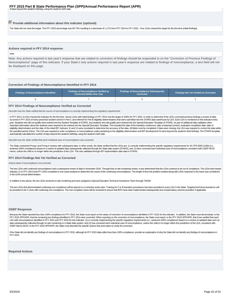# <span id="page-41-0"></span>**Provide additional information about this indicator (optional)**

The State did not meet the target. The FFY 2015 percentage was 96.73% resulting in a decrease of 1.17% from FFY 2014 to FFY 2015. Four LEAs missed the target for the first time (initial findings).

#### **Actions required in FFY 2014 response**

#### none

Note: Any actions required in last year's response that are related to correction of findings should be responded to on the "Correction of Previous Findings of Noncompliance" page of this indicator. If your State's only actions required in last year's response are related to findings of noncompliance, a text field will not be displayed on this page.

#### **Correction of Findings of Noncompliance Identified in FFY 2014**

| <b>Findings of Noncompliance Identified</b> | <b>Findings of Noncompliance Verified as</b><br>Corrected Within One Year | <b>Findings of Noncompliance Subsequently</b><br>Corrected | Findings Not Yet Verified as Corrected |  |  |
|---------------------------------------------|---------------------------------------------------------------------------|------------------------------------------------------------|----------------------------------------|--|--|
|                                             |                                                                           |                                                            |                                        |  |  |

#### **FFY 2014 Findings of Noncompliance Verified as Corrected**

Describe how the State verified that the source of noncompliance is correctly implementing the regulatory requirements

In FFY 2014, 9 LEAs missed the indicator for the first time. Seven LEAs with initial findings in FFY 2014 met the target of 100% for FFY 2015. In order to determine if the LEA's corrected previous findings a review of data occurred in FFY 2015 of every preschool student served in Part C and referred for Part B eligibility determinations that were submitted into the STARS data warehouse by LEA. Each LEA is monitored on this indicator every year. Students who did not qualify were entered into the Student Template of STARS, and students who did qualify were entered into the Special Education Template of STARS. As part of additional data validation other important information about the students were required to be entered into the Special Education Template. This included the date of the transition conference, date of parental consent, evaluation completion date, date of eligibility determination and the date of the initial IEP. Indicator 11 and 12 were correlated to determine the accuracy of the data. All fields must be completed. If data were missing, the LEA was required to correct the the specified period of time. The LEA was required to enter compliance or noncompliance codes pertaining to the eligibility determination and IEP development if it went beyond the student's third birthday. The STARS templa automatically calculated the number of days beyond the student's birthday, using the student's birth date.

Describe how the State verified that each individual case of noncompliance was corrected

The State conducted Prong I and Prong II reviews with subsequent data. In other words, the State verified that the LEAs are: 1) correctly implementing the specific regulatory requirements for 34 CFR §300.124(b) (i.e., achieved 100% compliance) based on a review of updated data subsequently collected through the State data system (STARS); and, 2) have corrected each individual case of noncompliance consistent with OSEP 09-02 memo, unless the child is no longer within the jurisdiction of the LEA. This was validated through IEP implmentation date data in STARS.

#### **FFY 2014 Findings Not Yet Verified as Corrected**

Actions taken if noncompliance not corrected

The two LEAs with continued noncompliance had a subsequent review of data in November 2016. Through that on-site monitoring review, it was determined that the LEAs continue to be out of compliance. The LEAs that missed Indicator 12 in FFY 2014 and FFY 2015 completed a root cause analysis to determine the cause of the continuing noncompliance. The length of time the problem existed along with LEA's response to the issue was considered in the LEA's annual determination.

In addition to the above, the two LEAs received on-site monitoring and were assigned a Special Education Technical Assistance Team through TAESE.

The two LEAs that demonstrated continuing non-compliance will be placed on a corrective action plan. Training for C to B transition procedures has been provided to every LEA in the State. Targeted technical assistance will be provided to the 2 LEAs with continuing non-compliance. The non-compliant cases will be reviewed to ensure that IEPs have been implemented subsequently and compensatory services provided, if applicable.

#### **OSEP Response**

Because the State reported less than 100% compliance for FFY 2015, the State must report on the status of correction of noncompliance identified in FFY 2015 for this indicator. In addition, the State must demonstrate, in t FFY 2016 SPP/APR, that the remaining two findings identified in FFY 2014 were corrected. When reporting on the correction of noncompliance, the State must report, in the FFY 2016 SPP/APR, that it has verified that each LEA with noncompliance identified in FFY 2014 and FFY 2015 for this indicator: (1) is correctly implementing the specific regulatory requirements (i.e., achieved 100% compliance) based on a review of updated data such as data subsequently collected through on-site monitoring or a State data system; and (2) has corrected each individual case of noncompliance, unless the child is no longer within the jurisdiction of the LEA, consistent with OSEP Memo 09-02. In the FFY 2016 SPP/APR, the State must describe the specific actions that were taken to verify the correction.

If the State did not identify any findings of noncompliance in FFY 2015, although its FFY 2015 data reflect less than 100% compliance, provide an explanation of why the State did not identify any findings of noncompliance FFY 2015.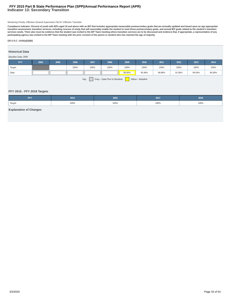# **Indicator 13: Secondary Transition FFY 2015 Part B State Performance Plan (SPP)/Annual Performance Report (APR)**

#### Monitoring Priority: Effective General Supervision Part B / Effective Transition

Compliance indicator: Percent of youth with IEPs aged 16 and above with an IEP that includes appropriate measurable postsecondary goals that are annually updated and based upon an age appropriate<br>transition assessment, tra **participating agency was invited to the IEP Team meeting with the prior consent of the parent or student who has reached the age of majority.**

#### **(20 U.S.C. 1416(a)(3)(B))**

# **Historical Data**

# Baseline Data: 2009

| <b>FFY</b>                                                 | 2004 | 2005 | 2006 | 2007 | 2008 | 2009   | 2010   | 2011   | 2012   | 2013   | 2014   |
|------------------------------------------------------------|------|------|------|------|------|--------|--------|--------|--------|--------|--------|
| Target                                                     |      |      | 100% | 100% | 100% | 100%   | 100%   | 100%   | 100%   | 100%   | 100%   |
| Data                                                       |      |      |      |      |      | 98.45% | 95.48% | 96.86% | 91.56% | 94.04% | 96.36% |
| Key:<br>Gray - Data Prior to Baseline<br>Yellow - Baseline |      |      |      |      |      |        |        |        |        |        |        |

# **FFY 2015 - FFY 2018 Targets**

| -- 1   | 2015 | 2016 | 2017 | 2018 |
|--------|------|------|------|------|
| Target | 100% | 100% | 100% | 100% |

# **Explanation of Changes**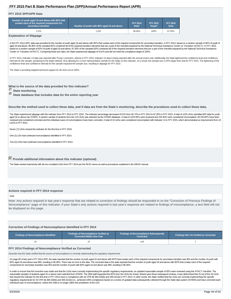# **FFY 2015 SPP/APR Data**

| Number of youth aged 16 and above with IEPs that<br>contain each of the required components for<br>secondary transition | Number of youth with IEPs aged 16 and above | <b>FFY 2014</b><br>Data* | <b>FFY 2015</b><br>Target* | <b>FFY 2015</b><br><b>Data</b> |
|-------------------------------------------------------------------------------------------------------------------------|---------------------------------------------|--------------------------|----------------------------|--------------------------------|
| 1.070                                                                                                                   | 1.225                                       | 96.36%                   | 100%                       | 87.35%                         |

**Explanation of Slippage**

In the FFY 2014 APR, data was provided for the number of youth aged 16 and above with IEPs that contain each of the required components for secondary transition. In FFY 2014, based on a random sample of IEPs of youth of aged 16 and above, 96.36% of the sampled IEPs contained all of the required transition elements that are a part of the checklist prepared by the National Technical Assistance Center on Transition (NTACT). In FFY 2015, based on a random sample of IEPs of youth of aged 16 and above, 87.35% of the sampled IEPs contained all of the required transition elements that are a part of the checklist prepared by the National Technical Assistance Center on Transition (NTACT). Comparing these two rates, the State experienced slippage of 9.01% and did not meet the compliance target of 100%.

In FFY 2014, Indicator 13 data was reported after Prong I correction, wheras in FFY 2015, Indicator 13 data is being reported after the annual review only. Additionally, the State tightened the confidence level and confide intervals for the sample, pertaining to the larger districts, thus allowing for a more representative sample for the State on this Indicator. As a result, the sample size is 25% larger than that for FFY 2014. The tightenin confidence level and confidence intervals for the sample impacted the sample size, resulting in slippage for FFY 2015

The State is providing targeted technical support for all LEAs not at 100%.

# **What is the source of the data provided for this indicator?**

**State monitoring** 

 **State database that includes data for the entire reporting year**

**Describe the method used to collect these data, and if data are from the State's monitoring, describe the procedures used to collect these data.**

The State experienced slippage with this indicator from FFY 2014 to FFY 2015. The indicator percentage decreased 9.01% from 92.72% in FFY 2014 to 87.35% in FFY 2015. A total of 1225 LEAs submitted IEP data for youth aged 16 or above into STARS. A random sample of students from the 124 LEAs was selected via the STARS database. A total of 1225 IEPs were reviewed and 155 IEPs were considered noncompliant. All 155 IEPs have been reviewed and considered corrected and the individual cases of noncompliance have been corrected. A total of 10 LEAs were considered noncompliant with Indicator 13 in FFY 2015, which demonstrated an improvement from 22 LEAS in FFY 2014.

Seven (7) LEAs missed the indicator for the first time in FFY 2015.

One (1) LEA had continued noncompliance identified in FFY 2014.

Two (2) LEAs had continued noncompliance identified in FFY 2013.

**Provide additional information about this indicator (optional)**

The State worked extensively with all non-compliant LEAs from FFY 2014 per the 09-02 memo as well as procedures explained in the ISEAS manual.

#### **Actions required in FFY 2014 response**

#### none

Note: Any actions required in last year's response that are related to correction of findings should be responded to on the "Correction of Previous Findings of Noncompliance" page of this indicator. If your State's only actions required in last year's response are related to findings of noncompliance, a text field will not be displayed on this page.

# **Correction of Findings of Noncompliance Identified in FFY 2014**

| <b>Findings of Noncompliance Identified</b> | <b>Findings of Noncompliance Verified as</b><br>Corrected Within One Year | <b>Findings of Noncompliance Subsequently</b><br>Corrected | Findings Not Yet Verified as Corrected |
|---------------------------------------------|---------------------------------------------------------------------------|------------------------------------------------------------|----------------------------------------|
|                                             |                                                                           | null                                                       |                                        |

# **FFY 2014 Findings of Noncompliance Verified as Corrected**

Describe how the State verified that the source of noncompliance is correctly implementing the regulatory requirements

On page 80 of last year's FFY 2014 APR, the state reported that the number of youth aged 16 and above with IEPS that contain each of the required components for secondary transition was 954 and the number of youth with IEPs aged 16 and above was 990, resulting in 96.36%. There was an error in the data. The corrected data is the state reported that the number of youth aged 16 and above with IEPS that contain each of the required components for secondary transition was 954 and the number of youth with IEPs aged 16 and above was 990, resulting in 96.36%.

In order to ensure that full correction was made and that the LEAs were correctly implementing the specific regulatory requirements, an updated reasonable sample of IEPs were reviewed using the NTACT checklist. The reasonable samples of students aged 16 or above were selected from STARS. The SEB staff requested the IEPs from the LEAs for review. Based upon those subsequent reviews, it was determined that 15 out of the 16 LEAs that missed the indicator for the first time in FFY 2014 were in compliance with 34 CFR §§ 300.320(b) and 300.321(b) in FFY 2014. In other words, the State verified that the LEAs are correctly implementing the specific regulatory requirements for 34 CFR §§ 300.320(b) and 300.321(b) (i.e., achieved 100% compliance) based on a review of updated data subsequently collected through the State data system (STARS) and have corrected each individual case of noncompliance, unless the child is no longer within the jurisdiction of the LEA.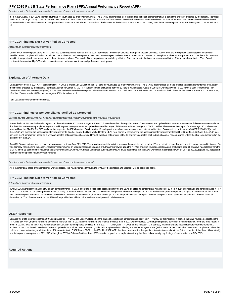<span id="page-44-0"></span>Describe how the State verified that each individual case of noncompliance was corrected

In FFY 2014, a total of 124 LEAs submitted IEP data for youth aged 16 or above into STARS. The STARS data included all of the required transition elements that are a part of the checklist prepared by the National Technical Assistance Center (NTACT). A random sample of students from the 124 LEAs was selected. A total of 990 IEPs were reviewed and 36 IEPs were considered noncompliant. All 36 IEPs have been reviewed and considered corrected and the individual cases of noncompliance have been corrected. Sixteen LEAs missed the indicator for the first time in FFY 2014. In FFY 2015, 15 of the 16 non-compliant LEAs met the target of 100% for Indicator 13.

#### **FFY 2014 Findings Not Yet Verified as Corrected**

Actions taken if noncompliance not corrected

One of the 16 non-complaint LEAs for FFY 2014 had continuing noncompliance in FFY 2015. Based upon the findings obtained through the process described above, the State took specific actions against the one LEA identified as noncompliant with Indicator 13 in FFY 2014. The LEA had to complete updated root cause analyses to determine the causes of the continued noncompliance. The LEA was placed on a corrective action plan with specific strategies to address areas found in the root cause analyses. The length of time the problem existed along with the LEA's response to the issue was considered in the LEA's annual determination. The LEA will continue to be monitored by SEB staff to provide them with technical assistance and professional development.

#### **Explanation of Alternate Data**

On page 90 of the FFY 2014 APR, it states that in FFY 2013, a total of 124 LEAs submitted IEP data for youth aged 16 or above into STARS. The STARS data included all of the required transition elements that are a part of the checklist prepared by the National Technical Assistance Center (NTACT). A random sample of students from the 124 LEAs was selected. A total of 939 IEPs were reviewed FFY 2013 Part B State Performance Plan (SPP)/Annual Performance Report (APR) and 56 IEPs were considered non compliant. All 56 IEPs were reviewed and considered corrected. Seventeen LEAs missed the indicator for the first time in FFY 2013. In FFY 2014, 13 of the 17 non-compliant LEAs met the target of 100% for Indicator 13.

Four LEAs had continued non-compliance.

#### **FFY 2013 Findings of Noncompliance Verified as Corrected**

Describe how the State verified that the source of noncompliance is correctly implementing the regulatory requirements

Two of the four LEAs that had continuing noncompliance from FFY 2013 met the target at 100%. This was determined through the review of the corrected and updated IEPs. In order to ensure that full correction was made and that the LEAs were correctly implementing the specific regulatory requirements, an updated reasonable sample of IEPs were reviewed using the NTACT checklist. The reasonable sample of students aged 16 or above was selected from the STARS. The SEB staff member requested the IEPs from the LEAs for review. Based upon those subsequent reviews, it was determined that the LEAs were in compliance with 34 CFR §§ 300.320(b) and 300.321(b) and meeting the specific requlatory requirements. In other words, the State verified that the LEAs were correctly implementing the specific requlatory requirements for 34 CFR §§ 300.320(b) and 300.321(b) (i.e., achieved 100% compliance) based on a review of updated data subsequently collected through the State data system (STARS) and have corrected each individual case of noncompliance unless the child is no longer within the jurisdiction of the LEA.

Two (2) LEAs were determined to have continuing noncompliance from FFY 2013. This was determined through the review of the corrected and updated IEPs. In order to ensure that full correction was made and that each LEA was correctly implementing the specific regulatory requirements, an updated reasonable sample of IEPs were reviewed using the NTACT checklist. The reasonable sample of students aged 16 or above was selected from the<br>STARS. not meeting the specific regulatory requirements.

Describe how the State verified that each individual case of noncompliance was corrected

All of the individual cases of noncompliance were corrected. This was determined through the review of the corrected and updated IEPs as described above.

#### **FFY 2013 Findings Not Yet Verified as Corrected**

#### Actions taken if noncompliance not corrected

Two (2) LEAs were identified as continuing non-compliant from FFY 2013. The State took specific actions against the two LEAs identified as noncompliant with Indicator 13 in FFY 2014 and repeated the noncompliance in FFY 2015. The LEAs had to complete updated root cause analyses to determine the causes of the continued noncompliance. The LEAs were placed on a corrective action plan with specific strategies to address areas found in the root cause analyses. The LEAs has also been provided with technical assistance through TAESE. The length of time the problem existed along with the LEA's response to the issue was considered in the LEA's annual determination. The LEA was monitored by SEB staff to provide them with technical assistance and professional development.

#### **OSEP Response**

Because the State reported less than 100% compliance for FFY 2015, the State must report on the status of correction of noncompliance identified in FFY 2015 for this indicator. In addtion, the State must demonstrate, in th FFY 2016 SPP/APR, that the remaining one finding identified in FFY 2014 and the remaining two findings identified in FFY 2013 were corrected. When reporting on the correction of noncompliance, the State must report, in the FFY 2016 SPP/APR, that it has verified that each LEA with noncompliance identified in FFY 2013, FFY 2014, and FFY 2015 for this indicator: (1) is correctly implementing the specific regulatory requirements (i.e., achieved 100% compliance) based on a review of updated data such as data subsequently collected through on-site monitoring or a State data system; and (2) has corrected each individual case of noncompliance, unless the child is no longer within the jurisdiction of the LEA, consistent with OSEP Memo 09-02. In the FFY 2016 SPP/APR, the State must describe the specific actions that were taken to verify the correction. If the State did not i any findings of noncompliance in FFY 2015, although its FFY 2015 data reflect less than 100% compliance, provide an explanation of why the State did not identify any findings of noncompliance in FFY 2015.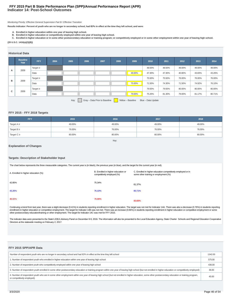# **Indicator 14: Post-School Outcomes FFY 2015 Part B State Performance Plan (SPP)/Annual Performance Report (APR)**

#### Monitoring Priority: Effective General Supervision Part B / Effective Transition

**Results indicator: Percent of youth who are no longer in secondary school, had IEPs in effect at the time they left school, and were:**

- **A. Enrolled in higher education within one year of leaving high school.**
- 
- B. Enrolled in higher education or competitively employed within one year of leaving high school.<br>C. Enrolled in higher education or in some other postsecondary education or training program; or competitively employed or i

#### **(20 U.S.C. 1416(a)(3)(B))**

#### **Historical Data**

|   | <b>Baseline</b><br>Year                                                          | <b>FFY</b>    | 2004 | 2005 | 2006 | 2007 | 2008 | 2009   | 2010   | 2011   | 2012   | 2013   | 2014   |
|---|----------------------------------------------------------------------------------|---------------|------|------|------|------|------|--------|--------|--------|--------|--------|--------|
|   | 2009                                                                             | Target $\geq$ |      |      |      |      |      |        | 48.50% | 48.50% | 49.00% | 49.00% | 49.00% |
| A |                                                                                  | Data          |      |      |      |      |      | 48.00% | 47.30% | 47.30% | 40.80% | 43.83% | 43.26% |
| в |                                                                                  | Target $\geq$ |      |      |      |      |      |        | 75.50% | 75.50% | 76.00% | 76.00% | 76.00% |
|   | 2009                                                                             | Data          |      |      |      |      |      | 75.00% | 71.50% | 74.30% | 71.50% | 74.92% | 76.10% |
|   |                                                                                  | Target $\geq$ |      |      |      |      |      |        | 79.50% | 79.50% | 80.00% | 80.00% | 80.00% |
| c | 2009                                                                             | Data          |      |      |      |      |      | 79.00% | 75.20% | 81.30% | 79.00% | 81.17% | 80.71% |
|   | Gray - Data Prior to Baseline<br>Key:<br>Yellow - Baseline<br>Blue - Data Update |               |      |      |      |      |      |        |        |        |        |        |        |

# **FFY 2015 - FFY 2018 Targets**

| <b>FFY</b>      | 2015   | 2016   | 2017   | 2018   |
|-----------------|--------|--------|--------|--------|
| Target $A \geq$ | 49.00% | 49.00% | 49.00% | 49.00% |
| Target $B \geq$ | 76.00% | 76.00% | 76.00% | 76.00% |
| Target $C \geq$ | 80.00% | 80.00% | 80.00% | 80.00% |

Key:

# **Explanation of Changes**

## **Targets: Description of Stakeholder Input**

| The chart below represents the three measurable categories. The current year is (in black), the previous year (in blue), and the target for the current year (in red). |                                                                  |                                                                                                       |  |  |  |  |  |  |  |
|------------------------------------------------------------------------------------------------------------------------------------------------------------------------|------------------------------------------------------------------|-------------------------------------------------------------------------------------------------------|--|--|--|--|--|--|--|
| A. Enrolled in higher education (%)                                                                                                                                    | B. Enrolled in higher education or<br>competitively employed (%) | C. Enrolled in higher education competitively employed or in<br>some other training or employment (%) |  |  |  |  |  |  |  |
| 42.85%                                                                                                                                                                 | 75.34%                                                           | 81.37%                                                                                                |  |  |  |  |  |  |  |
| 43.26%                                                                                                                                                                 | 76.10%                                                           | 80.71%                                                                                                |  |  |  |  |  |  |  |
| 49.00%                                                                                                                                                                 | 76.00%                                                           | 80.00%                                                                                                |  |  |  |  |  |  |  |

Continuing a trend from last year, there was a slight decrease (0.41%) in students reporting enrollment in higher education. The target was not met for Indicator 14A. There was also a decrease (0.76%) in students reporting enrollment in higher education or competitive employment. The target for Indicator 14B was not met. There was an increase (0.66%) in students reporting enrollment in higher education or competitive employment or some other postsecondary education/training or other employment. The target for Indicator 14C was met for FFY 2015.

The indicator data were presented to the State's IDEA Advisory Panel on December 8-9, 2016. The information will also be presented to the Local Education Agency, State Charter Schools and Regional Education Cooperative Directors at the statewide meeting on February 2, 2017.

## **FFY 2015 SPP/APR Data**

| Number of respondent youth who are no longer in secondary school and had IEPs in effect at the time they left school                                                                                                                | 1342.00 |
|-------------------------------------------------------------------------------------------------------------------------------------------------------------------------------------------------------------------------------------|---------|
| 1. Number of respondent youth who enrolled in higher education within one year of leaving high school                                                                                                                               | 575.00  |
| 2. Number of respondent youth who competitively employed within one year of leaving high school                                                                                                                                     | 436.00  |
| 3. Number of respondent youth enrolled in some other postsecondary education or training program within one year of leaving high school (but not enrolled in higher education or competitively employed)                            | 36.00   |
| 4. Number of respondent youth who are in some other employment within one year of leaving high school (but not enrolled in higher education, some other postsecondary education or training program,<br>or competitively employed). | 45.00   |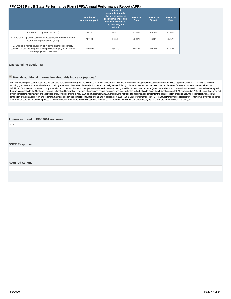<span id="page-46-0"></span>

|                                                                                                                                                                      | <b>Number of</b><br>respondent youth | <b>Number of</b><br>respondent youth<br>who are no longer in<br>secondary school and<br>had IEPs in effect at<br>the time they left<br>school | <b>FFY 2014</b><br>Data* | <b>FFY 2015</b><br>Target* | <b>FFY 2015</b><br><b>Data</b> |
|----------------------------------------------------------------------------------------------------------------------------------------------------------------------|--------------------------------------|-----------------------------------------------------------------------------------------------------------------------------------------------|--------------------------|----------------------------|--------------------------------|
| A. Enrolled in higher education (1)                                                                                                                                  | 575.00                               | 1342.00                                                                                                                                       | 43.26%                   | 49.00%                     | 42.85%                         |
| B. Enrolled in higher education or competitively employed within one<br>year of leaving high school (1 +2)                                                           | 1011.00                              | 1342.00                                                                                                                                       | 76.10%                   | 76.00%                     | 75.34%                         |
| C. Enrolled in higher education, or in some other postsecondary<br>education or training program; or competitively employed or in some<br>other employment (1+2+3+4) | 1092.00                              | 1342.00                                                                                                                                       | 80.71%                   | 80.00%                     | 81.37%                         |

#### **Was sampling used?** No

# **Provide additional information about this indicator (optional)**

The New Mexico post-school outcomes census data collection was designed as a census of former students with disabilities who received special education services and exited high school in the 2014-2015 school year, including graduates and those who dropped out in grades 9-12. The current data collection method is designed to efficiently collect the data as specified by OSEP requirements for FFY 2015. New Mexico utilized the definitions of employment, post-secondary education and other employment, other post-secondary education or training specified in the OSEP definition (May 2010). The data collection is assembled, conducted and analyzed through a contract with the Northeast Regional Education Cooperative. Students who received special education services under the Individuals with Disabilities Education Act, (IDEA), had exited in 2014-2015 and had been out completion of the data collection and reporting. Staff assigned by the schools conducted phone and in-person FFY 2015 Part B State Performance Plan (SPP)/Annual Performance Report (APR) interviews of former students or family members and entered responses on the online form; which were then downloaded to a database. Survey data were submitted electronically via an online site for compilation and analysis.

#### **Actions required in FFY 2014 response**

none

**OSEP Response**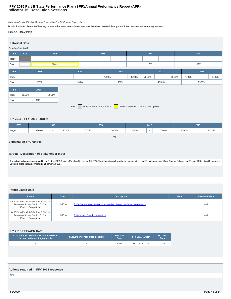# **Indicator 15: Resolution Sessions FFY 2015 Part B State Performance Plan (SPP)/Annual Performance Report (APR)**

Monitoring Priority: Effective General Supervision Part B / General Supervision

**Results indicator: Percent of hearing requests that went to resolution sessions that were resolved through resolution session settlement agreements.**

# **(20 U.S.C. 1416(a)(3(B))**



# **FFY 2015 - FFY 2018 Targets**

| <b>FFY</b> | 2015   |        | 2016   |        | 2017                     |        |        | 2018   |        |        |                          |        |
|------------|--------|--------|--------|--------|--------------------------|--------|--------|--------|--------|--------|--------------------------|--------|
| 'Target    | 55.00% | $\sim$ | 70.00% | 55.00% | $\overline{\phantom{a}}$ | 70.00% | 55.00% | $\sim$ | 70.00% | 55.00% | $\overline{\phantom{a}}$ | 70.00% |
|            |        |        |        |        |                          | Key:   |        |        |        |        |                          |        |

# **Explanation of Changes**

# **Targets: Description of Stakeholder Input**

The indicator data were presented to the State's IDEA Advisory Panel on December 8-9, 2016.The information will also be presented to the Local Education Agency, State Charter Schools and Regional Education Cooperative Directors at the statewide meeting on February 2, 2017.

# **Prepopulated Data**

| <b>Date</b><br><b>Description</b><br>Source                                                            |           | <b>Data</b>                                                              | <b>Overwrite Data</b> |      |
|--------------------------------------------------------------------------------------------------------|-----------|--------------------------------------------------------------------------|-----------------------|------|
| SY 2015-16 EMAPS IDEA Part B Dispute<br>Resolution Survey; Section C: Due<br><b>Process Complaints</b> | 11/2/2016 | 3.1(a) Number resolution sessions resolved through settlement agreements | n                     | null |
| SY 2015-16 EMAPS IDEA Part B Dispute<br>Resolution Survey; Section C: Due<br><b>Process Complaints</b> | 11/2/2016 | 3.1 Number of resolution sessions                                        | n                     | nul  |

## **FFY 2015 SPP/APR Data**

| 3.1(a) Number resolution sessions resolved<br>through settlement agreements | 3.1 Number of resolution sessions | <b>FFY 2014</b><br>Data* | FFY 2015 Target* | <b>FFY 2015</b><br><b>Data</b> |  |
|-----------------------------------------------------------------------------|-----------------------------------|--------------------------|------------------|--------------------------------|--|
|                                                                             |                                   | 100%                     | 55.00% - 70.00%  | 100%                           |  |

# **Actions required in FFY 2014 response**

none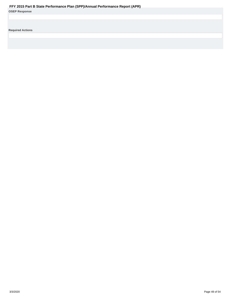<span id="page-48-0"></span>

| <b>OSEP Response</b> |  |  |  |
|----------------------|--|--|--|
|----------------------|--|--|--|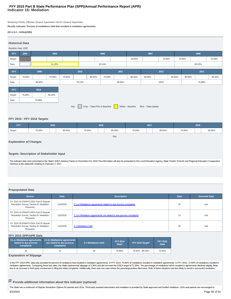# **Indicator 16: Mediation FFY 2015 Part B State Performance Plan (SPP)/Annual Performance Report (APR)**

Monitoring Priority: Effective General Supervision Part B / General Supervision

**Results indicator: Percent of mediations held that resulted in mediation agreements.**

#### **(20 U.S.C. 1416(a)(3(B))**

| <b>Historical Data</b><br>Baseline Data: 2005 |                                                                                  |        |                          |        |                          |              |                          |                          |        |                          |                          |        |        |                          |        |
|-----------------------------------------------|----------------------------------------------------------------------------------|--------|--------------------------|--------|--------------------------|--------------|--------------------------|--------------------------|--------|--------------------------|--------------------------|--------|--------|--------------------------|--------|
|                                               |                                                                                  |        |                          |        |                          |              |                          |                          |        |                          |                          |        |        |                          |        |
| FFY                                           | 2004<br>2005                                                                     |        |                          |        | 2006                     |              |                          | 2007                     |        |                          |                          | 2008   |        |                          |        |
| Target                                        |                                                                                  |        | $\overline{\phantom{a}}$ |        |                          |              | $\overline{\phantom{a}}$ |                          | 63.00% | $\overline{\phantom{a}}$ | 70.00%                   |        | 70.00% | $\overline{\phantom{a}}$ | 75.00% |
| Data                                          | 61.30%                                                                           |        |                          |        | 63.14%                   |              |                          |                          |        |                          |                          | 89.20% |        |                          |        |
|                                               |                                                                                  |        |                          |        |                          |              |                          |                          |        |                          |                          |        |        |                          |        |
| <b>FFY</b>                                    |                                                                                  | 2009   |                          |        |                          | 2011<br>2010 |                          |                          | 2012   |                          |                          |        | 2013   |                          |        |
| Target                                        | 70.00%                                                                           | $\sim$ | 75.00%                   | 75.00% | $\overline{\phantom{a}}$ | 80.00%       | 75.00%                   | $\overline{\phantom{a}}$ | 80.00% | 80.00%                   | $\overline{\phantom{a}}$ | 85.00% | 80.00% | $\overline{\phantom{a}}$ | 85.00% |
| Data                                          | 80.65%                                                                           |        |                          | 78.13% |                          |              | 86.96%                   |                          | 100%   |                          |                          |        | 75.68% |                          |        |
| <b>FFY</b>                                    |                                                                                  | 2014   |                          |        |                          |              |                          |                          |        |                          |                          |        |        |                          |        |
| Target                                        | 75.00%                                                                           | $\sim$ | 85.00%                   |        |                          |              |                          |                          |        |                          |                          |        |        |                          |        |
| Data                                          |                                                                                  | 75.86% |                          |        |                          |              |                          |                          |        |                          |                          |        |        |                          |        |
|                                               | Gray - Data Prior to Baseline<br>Yellow - Baseline<br>Key:<br>Blue - Data Update |        |                          |        |                          |              |                          |                          |        |                          |                          |        |        |                          |        |

# **FFY 2015 - FFY 2018 Targets**

| <b>FFY</b> | 2015                               |  |        | 2016   |                          |        | 2017   |                          |        | 2018   |                          |        |
|------------|------------------------------------|--|--------|--------|--------------------------|--------|--------|--------------------------|--------|--------|--------------------------|--------|
| Target     | 75.00%<br>$\overline{\phantom{a}}$ |  | 85.00% | 75.00% | $\overline{\phantom{a}}$ | 85.00% | 75.00% | $\overline{\phantom{a}}$ | 85.00% | 75.00% | $\overline{\phantom{a}}$ | 85.00% |
|            |                                    |  |        |        |                          | Key:   |        |                          |        |        |                          |        |

# **Explanation of Changes**

# **Targets: Description of Stakeholder Input**

The indicator data were presented to the State's IDEA Advisory Panel on December 8-9, 2016.The information will also be presented to the Local Education Agency, State Charter Schools and Regional Education Cooperative Directors at the statewide meeting on February 2, 2017.

# **Prepopulated Data**

| Source                                                                                      | <b>Date</b> | <b>Description</b>                                                  | <b>Data</b> | <b>Overwrite Data</b> |
|---------------------------------------------------------------------------------------------|-------------|---------------------------------------------------------------------|-------------|-----------------------|
| SY 2015-16 EMAPS IDEA Part B Dispute<br>Resolution Survey; Section B: Mediation<br>Requests | 11/2/2016   | 2.1.a.i Mediations agreements related to due process complaints     | 16          | null                  |
| SY 2015-16 EMAPS IDEA Part B Dispute<br>Resolution Survey; Section B: Mediation<br>Requests | 11/2/2016   | 2.1.b. iMediations agreements not related to due process complaints | 13          | null                  |
| SY 2015-16 EMAPS IDEA Part B Dispute<br>Resolution Survey; Section B: Mediation<br>Requests | 11/2/2016   | 2.1 Mediations held                                                 | 40          | null                  |

# **FFY 2015 SPP/APR Data**

| 2.1.a. i Mediations agreements 2.1.b. i Mediations agreements<br>related to due process<br>complaints | not related to due process<br>complaints | 2.1 Mediations held | <b>FFY 2014</b><br>Data* | FFY 2015 Target* | <b>FFY 2015</b><br>Data |  |  |  |  |  |  |
|-------------------------------------------------------------------------------------------------------|------------------------------------------|---------------------|--------------------------|------------------|-------------------------|--|--|--|--|--|--|
| 16                                                                                                    |                                          | 40                  | 75.86%                   | 75.00% - 85.00%  | 72.50%                  |  |  |  |  |  |  |
| From Low of the count of Others or and                                                                |                                          |                     |                          |                  |                         |  |  |  |  |  |  |

# **Explanation of Slippage**

In the FFY 2014 APR, data was provided for percent of mediations that resulted in mediation agreements. In FFY 2014, 75.86% of mediations resulted in mediation agreements. In FFY 2015, 72.50% of mediations resulted in<br>medi

# **Provide additional information about this indicator (optional)**

The State has a continuum of Dispute Resolution Options for parents and LEAs. Third-party assisted intervention and mediation is provided by State-approved and funded mediators. LEAs and parents are encouraged to 3/3/2020 Page 50 of 54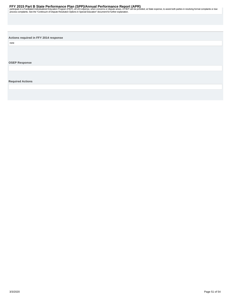<span id="page-50-0"></span>participate in a Facilitated Individualized Education Program (FIEP), at LEA expense, when concerns or dispute arises. A FIEP can be provided, at State expense, to assist both parties in resolving formal complaints or due<br>

**Actions required in FFY 2014 response**

none

**OSEP Response**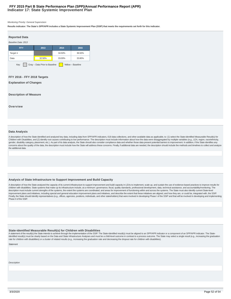# **Indicator 17: State Systemic Improvement Plan FFY 2015 Part B State Performance Plan (SPP)/Annual Performance Report (APR)**

#### Monitoring Priority: General Supervision

**Results indicator: The State's SPP/APR includes a State Systemic Improvement Plan (SSIP) that meets the requirements set forth for this indicator.**

| <b>Reported Data</b>                                       |        |        |        |  |  |  |  |  |  |
|------------------------------------------------------------|--------|--------|--------|--|--|--|--|--|--|
| Baseline Data: 2013                                        |        |        |        |  |  |  |  |  |  |
| <b>FFY</b>                                                 | 2013   | 2014   | 2015   |  |  |  |  |  |  |
| Target $\geq$                                              |        | 34.50% | 36.50% |  |  |  |  |  |  |
| Data                                                       | 32.50% | 33.00% | 33.80% |  |  |  |  |  |  |
| Gray - Data Prior to Baseline<br>Key:<br>Yellow - Baseline |        |        |        |  |  |  |  |  |  |

# **FFY 2016 - FFY 2018 Targets**

**Explanation of Changes**

#### **Description of Measure**

**Overview**

# **Data Analysis**

A description of how the State identified and analyzed key data, including data from SPP/APR indicators, 618 data collections, and other available data as applicable, to: (1) select the State-identified Measurable Result(s Children with Disabilities, and (2) identify root causes contributing to low performance. The description must include information about how the data were disaggregated by multiple variables (e.g., LEA, region, race/ethnic gender, disability category, placement, etc.). As part of its data analysis, the State should also consider compliance data and whether those data present potential barriers to improvement. In addition, if the State identi concerns about the quality of the data, the description must include how the State will address these concerns. Finally, if additional data are needed, the description should include the methods and timelines to collect an the additional data.

## **Analysis of State Infrastructure to Support Improvement and Build Capacity**

A description of how the State analyzed the capacity of its current infrastructure to support improvement and build capacity in LEAs to implement, scale up, and sustain the use of evidence-based practices to improve result children with disabilities. State systems that make up its infrastructure include, at a minimum: governance, fiscal, quality standards, professional development, data, technical assistance, and accountability/monitoring. The description must include current strengths of the systems, the extent the systems are coordinated, and areas for improvement of functioning within and across the systems. The State must also identify current State-level improvement plans and initiatives, including special and general education improvement plans and initiatives, and describe the extent that these initiatives are aligned, and how they are, or could be, integrated with, the Finally, the State should identify representatives (e.g., offices, agencies, positions, individuals, and other stakeholders) that were involved in developing Phase I of the SSIP and that will be involved in developing and Phase II of the SSIP.

## **State-identified Measurable Result(s) for Children with Disabilities**

A statement of the result(s) the State intends to achieve through the implementation of the SSIP. The State-identified result(s) must be aligned to an SPP/APR indicator or a component of an SPP/APR indicator. The State-ide rate for children with disabilities) or a cluster of related results (e.g., increasing the graduation rate and decreasing the dropout rate for children with disabilities).

**Statement** 

**Description**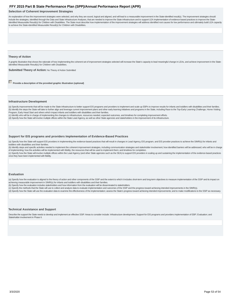## <span id="page-52-0"></span>**Selection of Coherent Improvement Strategies**

An explanation of how the improvement strategies were selected, and why they are sound, logical and aligned, and will lead to a measurable improvement in the State-identified result(s). The improvement strategies should include the strategies, identified through the Data and State Infrastructure Analyses, that are needed to improve the State infrastructure and to support LEA implementation of evidence-based practices to improve the Stateidentified Measurable Result(s) for Children with Disabilities. The State must describe how implementation of the improvement strategies will address identified root causes for low performance and ultimately build LEA capa to achieve the State-identified Measurable Result(s) for Children with Disabilities.

#### **Theory of Action**

A graphic illustration that shows the rationale of how implementing the coherent set of improvement strategies selected will increase the State's capacity to lead meaningful change in LEAs, and achieve improvement in the S identified Measurable Result(s) for Children with Disabilities.

**Submitted Theory of Action: No Theory of Action Submitted** 

**Provide a description of the provided graphic illustration (optional)** 

#### **Infrastructure Development**

(a) Specify improvements that will be made to the State infrastructure to better support EIS programs and providers to implement and scale up EBPs to improve results for infants and toddlers with disabilities and their fam (b) Identify the steps the State will take to further align and leverage current improvement plans and other early learning initiatives and programs in the State, including Race to the Top-Early Learning Challenge, Home Vi Program, Early Head Start and others which impact infants and toddlers with disabilities and their families.

(c) Identify who will be in charge of implementing the changes to infrastructure, resources needed, expected outcomes, and timelines for completing improvement efforts.

(d) Specify how the State will involve multiple offices within the State Lead Agency, as well as other State agencies and stakeholders in the improvement of its infrastructure.

#### **Support for EIS programs and providers Implementation of Evidence-Based Practices**

(a) Specify how the State will support EIS providers in implementing the evidence-based practices that will result in changes in Lead Agency, EIS program, and EIS provider practices to achieve the SIMR(s) for infants and toddlers with disabilities and their families.

(b) Identify steps and specific activities needed to implement the coherent improvement strategies, including communication strategies and stakeholder involvement; how identified barriers will be addressed; who will be in of implementing; how the activities will be implemented with fidelity; the resources that will be used to implement them; and timelines for completion.

(c) Specify how the State will involve multiple offices within the Lead Agency (and other State agencies such as the SEA) to support EIS providers in scaling up and sustaining the implementation of the evidence-based pract once they have been implemented with fidelity.

#### **Evaluation**

(a) Specify how the evaluation is aligned to the theory of action and other components of the SSIP and the extent to which it includes short-term and long-term objectives to measure implementation of the SSIP and its impac achieving measurable improvement in SIMR(s) for infants and toddlers with disabilities and their families.

(b) Specify how the evaluation includes stakeholders and how information from the evaluation will be disseminated to stakeholders.

(c) Specify the methods that the State will use to collect and analyze data to evaluate implementation and outcomes of the SSIP and the progress toward achieving intended improvements in the SIMR(s).

(d) Specify how the State will use the evaluation data to examine the effectiveness of the implementation; assess the State's progress toward achieving intended improvements; and to make modifications to the SSIP as necess

#### **Technical Assistance and Support**

Describe the support the State needs to develop and implement an effective SSIP. Areas to consider include: Infrastructure development; Support for EIS programs and providers implementation of EBP; Evaluation; and Stakeholder involvement in Phase II.